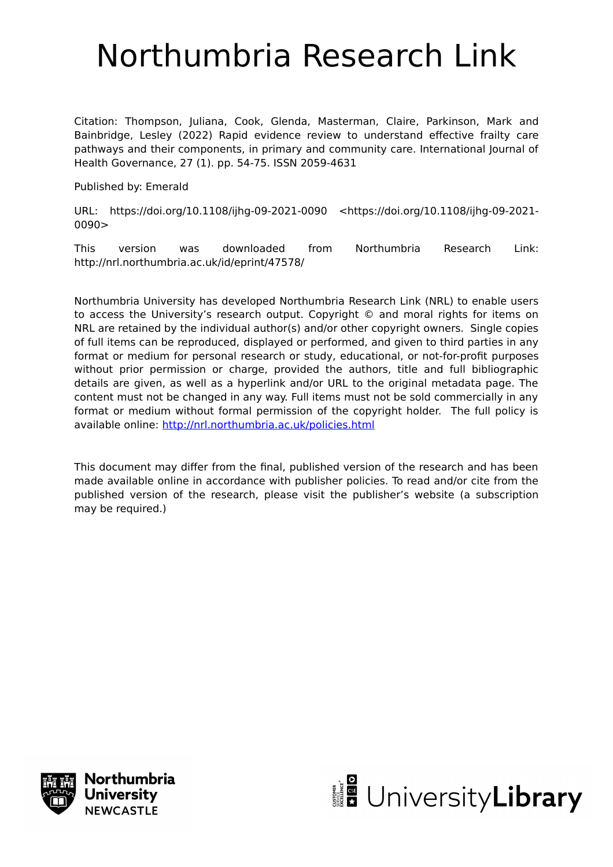# Northumbria Research Link

Citation: Thompson, Juliana, Cook, Glenda, Masterman, Claire, Parkinson, Mark and Bainbridge, Lesley (2022) Rapid evidence review to understand effective frailty care pathways and their components, in primary and community care. International Journal of Health Governance, 27 (1). pp. 54-75. ISSN 2059-4631

Published by: Emerald

URL: https://doi.org/10.1108/ijhg-09-2021-0090 <https://doi.org/10.1108/ijhg-09-2021- 0090>

This version was downloaded from Northumbria Research Link: http://nrl.northumbria.ac.uk/id/eprint/47578/

Northumbria University has developed Northumbria Research Link (NRL) to enable users to access the University's research output. Copyright © and moral rights for items on NRL are retained by the individual author(s) and/or other copyright owners. Single copies of full items can be reproduced, displayed or performed, and given to third parties in any format or medium for personal research or study, educational, or not-for-profit purposes without prior permission or charge, provided the authors, title and full bibliographic details are given, as well as a hyperlink and/or URL to the original metadata page. The content must not be changed in any way. Full items must not be sold commercially in any format or medium without formal permission of the copyright holder. The full policy is available online:<http://nrl.northumbria.ac.uk/policies.html>

This document may differ from the final, published version of the research and has been made available online in accordance with publisher policies. To read and/or cite from the published version of the research, please visit the publisher's website (a subscription may be required.)



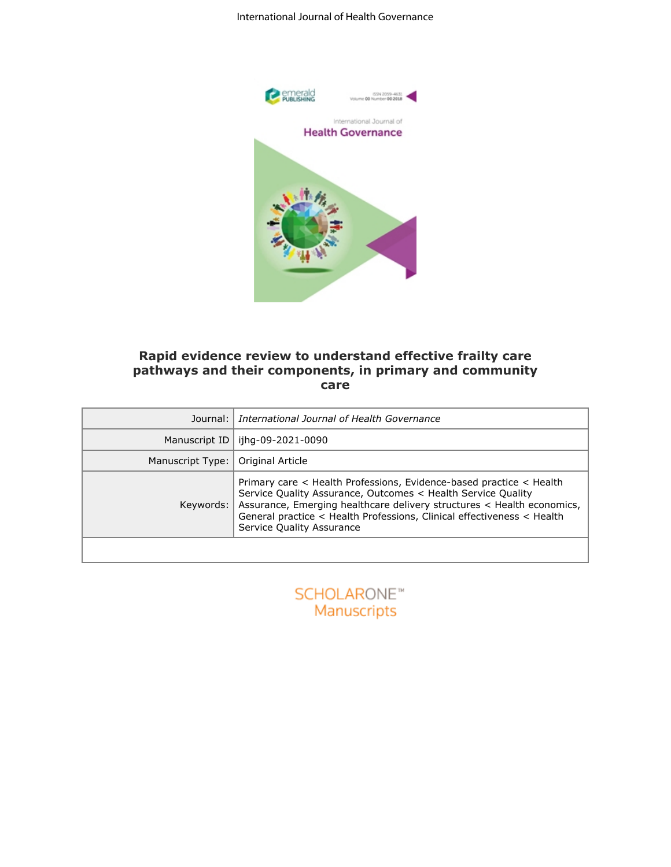

#### **Rapid evidence review to understand effective frailty care pathways and their components, in primary and community care**

| Journal:         | emerald<br>Publishing<br>ISSN 2059-4631<br>Volume 00 Number 00 2018<br>International Journal of<br><b>Health Governance</b><br>Rapid evidence review to understand effective frailty care<br>pathways and their components, in primary and community<br>care<br>International Journal of Health Governance           |
|------------------|----------------------------------------------------------------------------------------------------------------------------------------------------------------------------------------------------------------------------------------------------------------------------------------------------------------------|
| Manuscript ID    | ijhg-09-2021-0090                                                                                                                                                                                                                                                                                                    |
| Manuscript Type: | Original Article                                                                                                                                                                                                                                                                                                     |
| Keywords:        | Primary care < Health Professions, Evidence-based practice < Health<br>Service Quality Assurance, Outcomes < Health Service Quality<br>Assurance, Emerging healthcare delivery structures < Health economics,<br>General practice < Health Professions, Clinical effectiveness < Health<br>Service Quality Assurance |
|                  | <b>SCHOLARONE™</b><br>Manuscripts                                                                                                                                                                                                                                                                                    |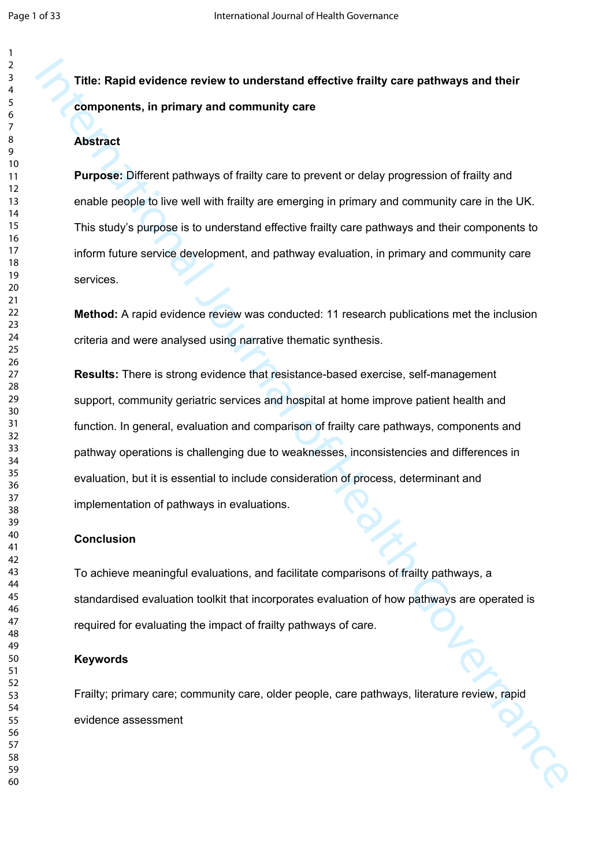## **Title: Rapid evidence review to understand effective frailty care pathways and their components, in primary and community care**

## **Abstract**

**Purpose:** Different pathways of frailty care to prevent or delay progression of frailty and enable people to live well with frailty are emerging in primary and community care in the UK. This study's purpose is to understand effective frailty care pathways and their components to inform future service development, and pathway evaluation, in primary and community care services.

**Method:** A rapid evidence review was conducted: 11 research publications met the inclusion criteria and were analysed using narrative thematic synthesis.

Tritte: Rapid evidence review to understand effective fraitly care pattways and their<br>components, in primary and community care<br>Abstract<br>Heroneso: Different pattways of traitly care to prevent or delay progression of fisil **Results:** There is strong evidence that resistance-based exercise, self-management support, community geriatric services and hospital at home improve patient health and function. In general, evaluation and comparison of frailty care pathways, components and pathway operations is challenging due to weaknesses, inconsistencies and differences in evaluation, but it is essential to include consideration of process, determinant and implementation of pathways in evaluations.

#### **Conclusion**

To achieve meaningful evaluations, and facilitate comparisons of frailty pathways, a standardised evaluation toolkit that incorporates evaluation of how pathways are operated is required for evaluating the impact of frailty pathways of care.

### **Keywords**

Frailty; primary care; community care, older people, care pathways, literature review, rapid evidence assessment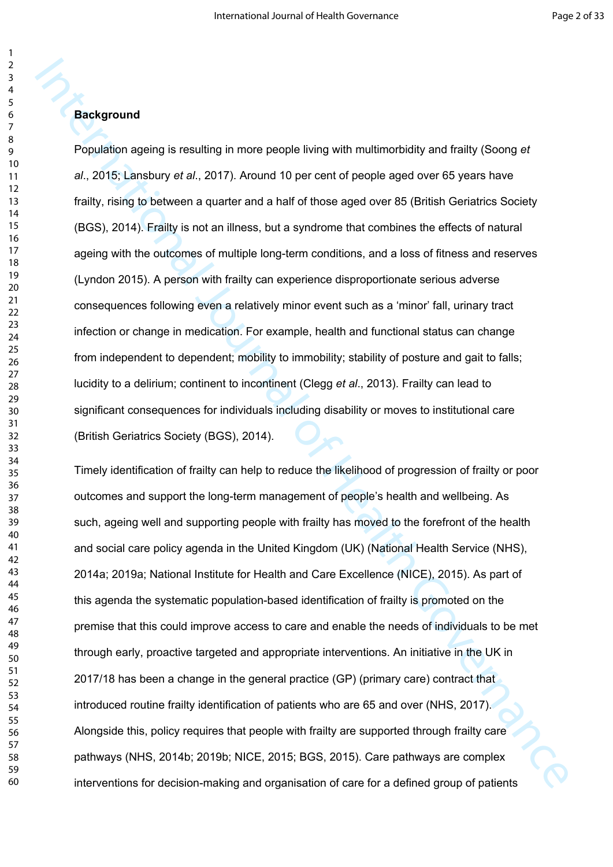Population ageing is resulting in more people living with multimorbidity and frailty (Soong *et al*., 2015; Lansbury *et al*., 2017). Around 10 per cent of people aged over 65 years have frailty, rising to between a quarter and a half of those aged over 85 (British Geriatrics Society (BGS), 2014). Frailty is not an illness, but a syndrome that combines the effects of natural ageing with the outcomes of multiple long-term conditions, and a loss of fitness and reserves (Lyndon 2015). A person with frailty can experience disproportionate serious adverse consequences following even a relatively minor event such as a 'minor' fall, urinary tract infection or change in medication. For example, health and functional status can change from independent to dependent; mobility to immobility; stability of posture and gait to falls; lucidity to a delirium; continent to incontinent (Clegg *et al*., 2013). Frailty can lead to significant consequences for individuals including disability or moves to institutional care (British Geriatrics Society (BGS), 2014).

**Background**<br> **Depletion ageing is resulting in more people living with multimorbidity and frailty (Soong et al., 2015; Lansbury et al., 2017). Around 10 per cent of people aged over 85 years have<br>
frailty, rising to betwe** Timely identification of frailty can help to reduce the likelihood of progression of frailty or poor outcomes and support the long-term management of people's health and wellbeing. As such, ageing well and supporting people with frailty has moved to the forefront of the health and social care policy agenda in the United Kingdom (UK) (National Health Service (NHS), 2014a; 2019a; National Institute for Health and Care Excellence (NICE), 2015). As part of this agenda the systematic population-based identification of frailty is promoted on the premise that this could improve access to care and enable the needs of individuals to be met through early, proactive targeted and appropriate interventions. An initiative in the UK in 2017/18 has been a change in the general practice (GP) (primary care) contract that introduced routine frailty identification of patients who are 65 and over (NHS, 2017). Alongside this, policy requires that people with frailty are supported through frailty care pathways (NHS, 2014b; 2019b; NICE, 2015; BGS, 2015). Care pathways are complex interventions for decision-making and organisation of care for a defined group of patients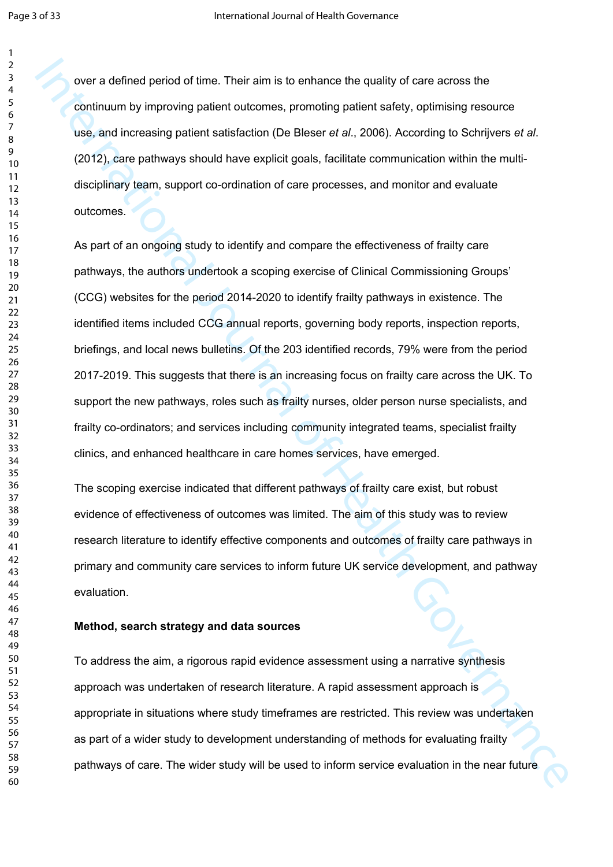over a defined period of time. Their aim is to enhance the quality of care across the continuum by improving patient outcomes, promoting patient safety, optimising resource use, and increasing patient satisfaction (De Bleser *et al*., 2006). According to Schrijvers *et al*. (2012), care pathways should have explicit goals, facilitate communication within the multidisciplinary team, support co-ordination of care processes, and monitor and evaluate outcomes.

over a defined period of lime. Their aim is to enhance the quality of care across the continuum by improving patient cultomes, promoting patient safety, oplimising resource<br>
use, and increasing patient safetacism (De Blees As part of an ongoing study to identify and compare the effectiveness of frailty care pathways, the authors undertook a scoping exercise of Clinical Commissioning Groups' (CCG) websites for the period 2014-2020 to identify frailty pathways in existence. The identified items included CCG annual reports, governing body reports, inspection reports, briefings, and local news bulletins. Of the 203 identified records, 79% were from the period 2017-2019. This suggests that there is an increasing focus on frailty care across the UK. To support the new pathways, roles such as frailty nurses, older person nurse specialists, and frailty co-ordinators; and services including community integrated teams, specialist frailty clinics, and enhanced healthcare in care homes services, have emerged.

The scoping exercise indicated that different pathways of frailty care exist, but robust evidence of effectiveness of outcomes was limited. The aim of this study was to review research literature to identify effective components and outcomes of frailty care pathways in primary and community care services to inform future UK service development, and pathway evaluation.

#### **Method, search strategy and data sources**

To address the aim, a rigorous rapid evidence assessment using a narrative synthesis approach was undertaken of research literature. A rapid assessment approach is appropriate in situations where study timeframes are restricted. This review was undertaken as part of a wider study to development understanding of methods for evaluating frailty pathways of care. The wider study will be used to inform service evaluation in the near future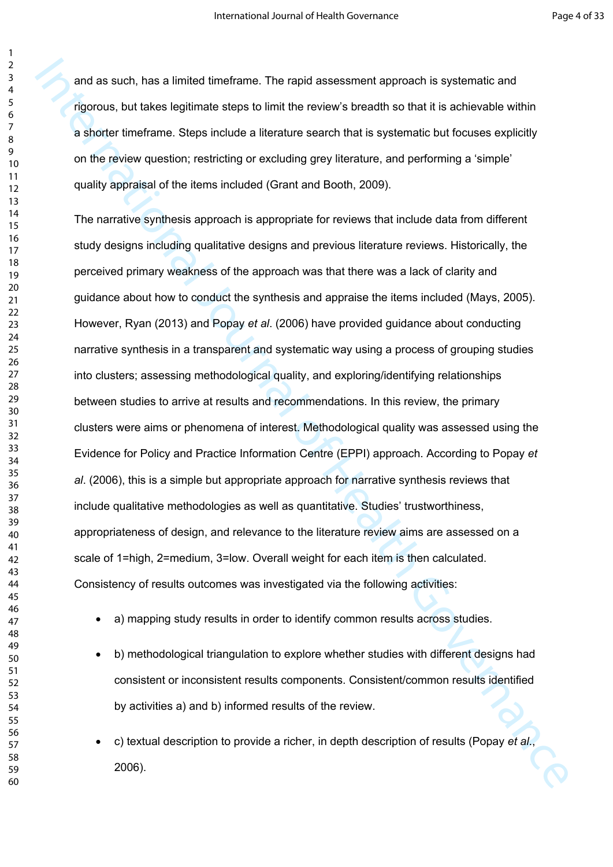and as such, has a limited timeframe. The rapid assessment approach is systematic and rigorous, but takes legitimate steps to limit the review's breadth so that it is achievable within a shorter timeframe. Steps include a literature search that is systematic but focuses explicitly on the review question; restricting or excluding grey literature, and performing a 'simple' quality appraisal of the items included (Grant and Booth, 2009).

and as such, has a limited timeframe. The rapid assessment approach is systematic and<br>approximation as the results of Health Governance and the results of the results of the system of the system of the system of the system The narrative synthesis approach is appropriate for reviews that include data from different study designs including qualitative designs and previous literature reviews. Historically, the perceived primary weakness of the approach was that there was a lack of clarity and guidance about how to conduct the synthesis and appraise the items included (Mays, 2005). However, Ryan (2013) and Popay *et al*. (2006) have provided guidance about conducting narrative synthesis in a transparent and systematic way using a process of grouping studies into clusters; assessing methodological quality, and exploring/identifying relationships between studies to arrive at results and recommendations. In this review, the primary clusters were aims or phenomena of interest. Methodological quality was assessed using the Evidence for Policy and Practice Information Centre (EPPI) approach. According to Popay *et al*. (2006), this is a simple but appropriate approach for narrative synthesis reviews that include qualitative methodologies as well as quantitative. Studies' trustworthiness, appropriateness of design, and relevance to the literature review aims are assessed on a scale of 1=high, 2=medium, 3=low. Overall weight for each item is then calculated. Consistency of results outcomes was investigated via the following activities:

- a) mapping study results in order to identify common results across studies.
- b) methodological triangulation to explore whether studies with different designs had consistent or inconsistent results components. Consistent/common results identified by activities a) and b) informed results of the review.
- c) textual description to provide a richer, in depth description of results (Popay *et al*., 2006).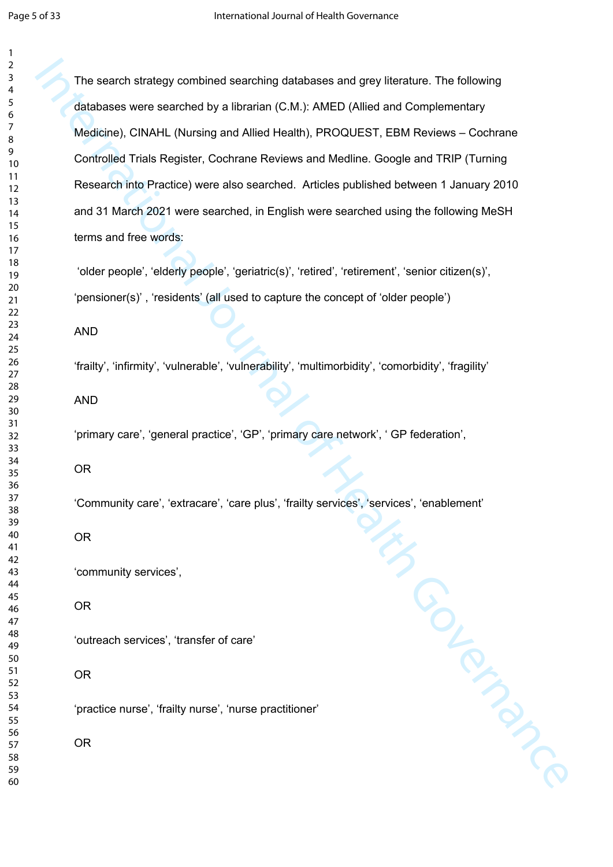The search strategy combined searching databases and grey literature. The following databases were searched by a librarian (C.M.): AMED (Allied and Complementary Medicine), CINAHL (Nursing and Allied Health), PROQUEST, EBM Reviews – Cochrane Controlled Trials Register, Cochrane Reviews and Medline. Google and TRIP (Turning Research into Practice) were also searched. Articles published between 1 January 2010 and 31 March 2021 were searched, in English were searched using the following MeSH terms and free words:

 'older people', 'elderly people', 'geriatric(s)', 'retired', 'retirement', 'senior citizen(s)', 'pensioner(s)' , 'residents' (all used to capture the concept of 'older people')

AND

'frailty', 'infirmity', 'vulnerable', 'vulnerability', 'multimorbidity', 'comorbidity', 'fragility'

AND

'primary care', 'general practice', 'GP', 'primary care network', ' GP federation',

OR

International Property 'Community care', 'extracare', 'care plus', 'frailty services', 'services', 'enablement'

OR

'community services',

OR

'outreach services', 'transfer of care'

OR

'practice nurse', 'frailty nurse', 'nurse practitioner'

OR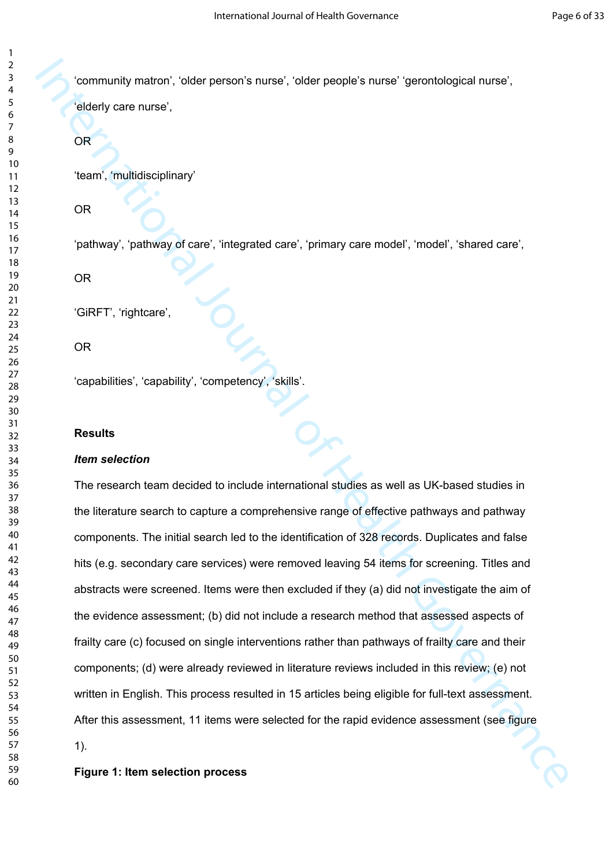'community matron', 'older person's nurse', 'older people's nurse' 'gerontological nurse',

'elderly care nurse',

OR

'team', 'multidisciplinary'

OR

'pathway', 'pathway of care', 'integrated care', 'primary care model', 'model', 'shared care',

OR

'GiRFT', 'rightcare',

OR

'capabilities', 'capability', 'competency', 'skills'.

#### **Results**

#### *Item selection*

Community matron, relear persons nurse, relear people's nurse "genontological nurse",<br>
Eldery care nurse",<br>
DR<br>
Team", multidisciplinary<br>
DR<br>
Team", multidisciplinary<br>
DR<br>
DR<br>
Containing of Care", mengented care", iprimary The research team decided to include international studies as well as UK-based studies in the literature search to capture a comprehensive range of effective pathways and pathway components. The initial search led to the identification of 328 records. Duplicates and false hits (e.g. secondary care services) were removed leaving 54 items for screening. Titles and abstracts were screened. Items were then excluded if they (a) did not investigate the aim of the evidence assessment; (b) did not include a research method that assessed aspects of frailty care (c) focused on single interventions rather than pathways of frailty care and their components; (d) were already reviewed in literature reviews included in this review; (e) not written in English. This process resulted in 15 articles being eligible for full-text assessment. After this assessment, 11 items were selected for the rapid evidence assessment (see figure 1).

**Figure 1: Item selection process**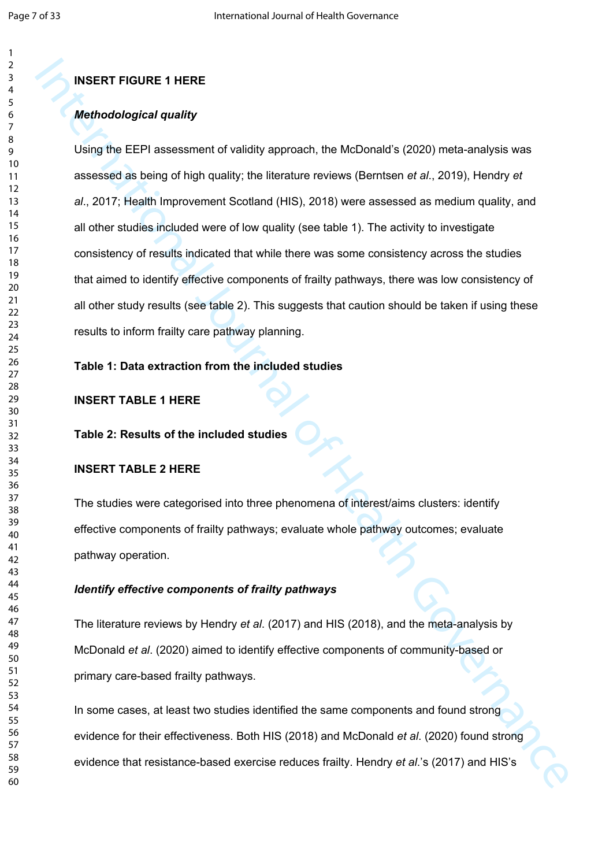#### **INSERT FIGURE 1 HERE**

#### *Methodological quality*

INSERT TABURE 1 HERE<br>
Methodological quality<br>
Using the EEPI assessment of validity approach, the MoDonald's (2020) meta-analysis was<br>
assessed as being of high quality, the literature reviews (Bernisen et al., 2019), Hend Using the EEPI assessment of validity approach, the McDonald's (2020) meta-analysis was assessed as being of high quality; the literature reviews (Berntsen *et al*., 2019), Hendry *et al*., 2017; Health Improvement Scotland (HIS), 2018) were assessed as medium quality, and all other studies included were of low quality (see table 1). The activity to investigate consistency of results indicated that while there was some consistency across the studies that aimed to identify effective components of frailty pathways, there was low consistency of all other study results (see table 2). This suggests that caution should be taken if using these results to inform frailty care pathway planning.

#### **Table 1: Data extraction from the included studies**

#### **INSERT TABLE 1 HERE**

#### **Table 2: Results of the included studies**

#### **INSERT TABLE 2 HERE**

The studies were categorised into three phenomena of interest/aims clusters: identify effective components of frailty pathways; evaluate whole pathway outcomes; evaluate pathway operation.

#### *Identify effective components of frailty pathways*

The literature reviews by Hendry *et al*. (2017) and HIS (2018), and the meta-analysis by McDonald *et al*. (2020) aimed to identify effective components of community-based or primary care-based frailty pathways.

In some cases, at least two studies identified the same components and found strong evidence for their effectiveness. Both HIS (2018) and McDonald *et al*. (2020) found strong evidence that resistance-based exercise reduces frailty. Hendry *et al*.'s (2017) and HIS's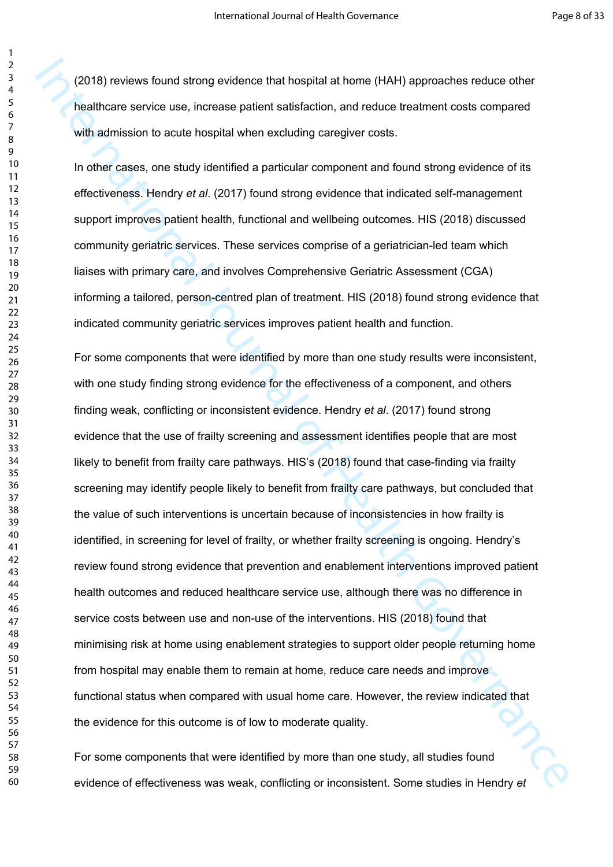(2018) reviews found strong evidence that hospital at home (HAH) approaches reduce other healthcare service use, increase patient satisfaction, and reduce treatment costs compared with admission to acute hospital when excluding caregiver costs.

In other cases, one study identified a particular component and found strong evidence of its effectiveness. Hendry *et al*. (2017) found strong evidence that indicated self-management support improves patient health, functional and wellbeing outcomes. HIS (2018) discussed community geriatric services. These services comprise of a geriatrician-led team which liaises with primary care, and involves Comprehensive Geriatric Assessment (CGA) informing a tailored, person-centred plan of treatment. HIS (2018) found strong evidence that indicated community geriatric services improves patient health and function.

(2018) reviews found strong evidence that hospital at home (HAH) approaches reduce other<br>healthcare service use, increase patient satisfaction, and reduce treatment costs compared<br>with admission to excite bospital when ex For some components that were identified by more than one study results were inconsistent, with one study finding strong evidence for the effectiveness of a component, and others finding weak, conflicting or inconsistent evidence. Hendry *et al*. (2017) found strong evidence that the use of frailty screening and assessment identifies people that are most likely to benefit from frailty care pathways. HIS's (2018) found that case-finding via frailty screening may identify people likely to benefit from frailty care pathways, but concluded that the value of such interventions is uncertain because of inconsistencies in how frailty is identified, in screening for level of frailty, or whether frailty screening is ongoing. Hendry's review found strong evidence that prevention and enablement interventions improved patient health outcomes and reduced healthcare service use, although there was no difference in service costs between use and non-use of the interventions. HIS (2018) found that minimising risk at home using enablement strategies to support older people returning home from hospital may enable them to remain at home, reduce care needs and improve functional status when compared with usual home care. However, the review indicated that the evidence for this outcome is of low to moderate quality.

For some components that were identified by more than one study, all studies found evidence of effectiveness was weak, conflicting or inconsistent. Some studies in Hendry *et*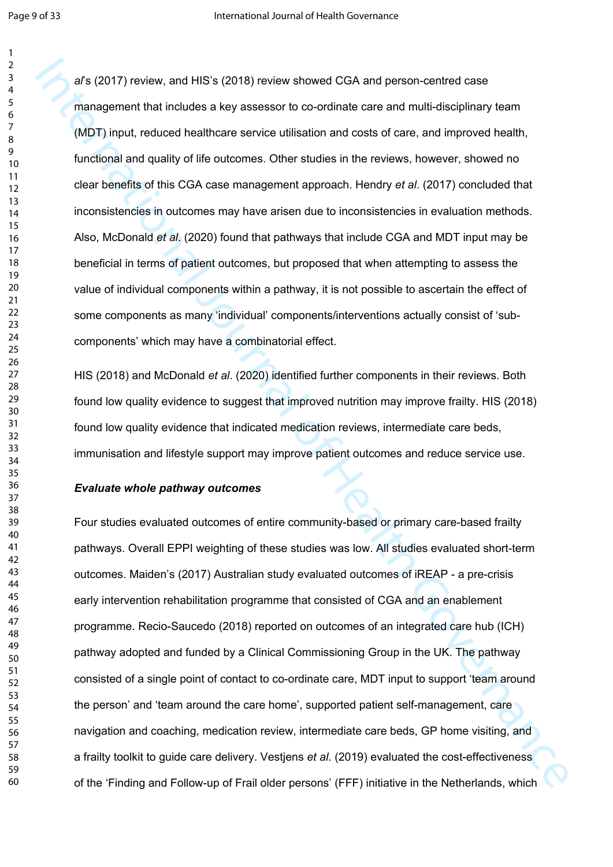*al*'s (2017) review, and HIS's (2018) review showed CGA and person-centred case management that includes a key assessor to co-ordinate care and multi-disciplinary team (MDT) input, reduced healthcare service utilisation and costs of care, and improved health, functional and quality of life outcomes. Other studies in the reviews, however, showed no clear benefits of this CGA case management approach. Hendry *et al*. (2017) concluded that inconsistencies in outcomes may have arisen due to inconsistencies in evaluation methods. Also, McDonald *et al*. (2020) found that pathways that include CGA and MDT input may be beneficial in terms of patient outcomes, but proposed that when attempting to assess the value of individual components within a pathway, it is not possible to ascertain the effect of some components as many 'individual' components/interventions actually consist of 'subcomponents' which may have a combinatorial effect.

HIS (2018) and McDonald *et al*. (2020) identified further components in their reviews. Both found low quality evidence to suggest that improved nutrition may improve frailty. HIS (2018) found low quality evidence that indicated medication reviews, intermediate care beds, immunisation and lifestyle support may improve patient outcomes and reduce service use.

#### *Evaluate whole pathway outcomes*

ars (2017) rewiew, and HIS's (2018) rewiew showed CGA and person centred does<br>management that includes a key assessor to co-ordinate care and multi-disciplinary team<br>(MDT) input, reduced traithcene enrice utilisation and c Four studies evaluated outcomes of entire community-based or primary care-based frailty pathways. Overall EPPI weighting of these studies was low. All studies evaluated short-term outcomes. Maiden's (2017) Australian study evaluated outcomes of iREAP - a pre-crisis early intervention rehabilitation programme that consisted of CGA and an enablement programme. Recio-Saucedo (2018) reported on outcomes of an integrated care hub (ICH) pathway adopted and funded by a Clinical Commissioning Group in the UK. The pathway consisted of a single point of contact to co-ordinate care, MDT input to support 'team around the person' and 'team around the care home', supported patient self-management, care navigation and coaching, medication review, intermediate care beds, GP home visiting, and a frailty toolkit to guide care delivery. Vestjens *et al*. (2019) evaluated the cost-effectiveness of the 'Finding and Follow-up of Frail older persons' (FFF) initiative in the Netherlands, which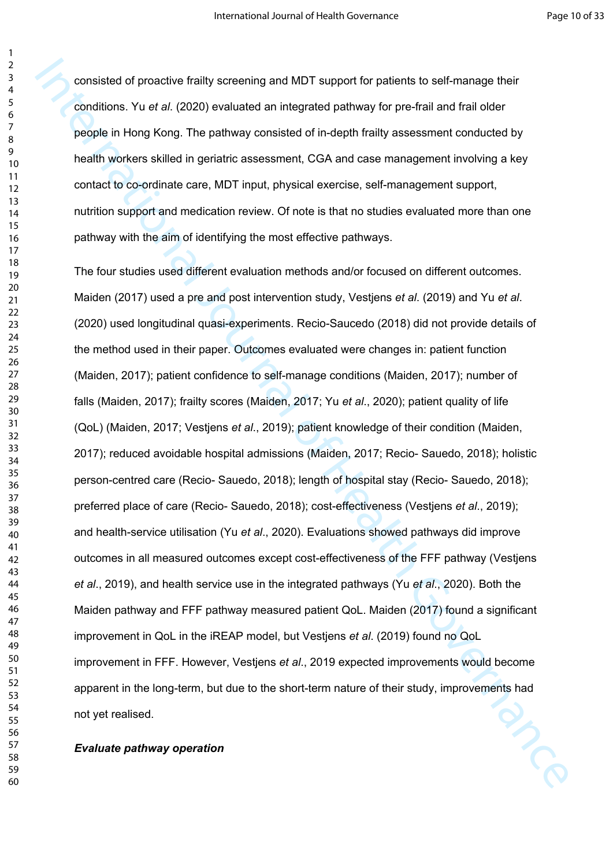consisted of proactive frailty screening and MDT support for patients to self-manage their conditions. Yu *et al*. (2020) evaluated an integrated pathway for pre-frail and frail older people in Hong Kong. The pathway consisted of in-depth frailty assessment conducted by health workers skilled in geriatric assessment, CGA and case management involving a key contact to co-ordinate care, MDT input, physical exercise, self-management support, nutrition support and medication review. Of note is that no studies evaluated more than one pathway with the aim of identifying the most effective pathways.

consisted of pronchere traitly screening and MDT support for pattents to self manage their<br>conditions. Yu et al. (2020) evoluated an integrated pathway for pre-firal and trait of der<br>people in Heng Kong. The pathway consis The four studies used different evaluation methods and/or focused on different outcomes. Maiden (2017) used a pre and post intervention study, Vestjens *et al*. (2019) and Yu *et al*. (2020) used longitudinal quasi-experiments. Recio-Saucedo (2018) did not provide details of the method used in their paper. Outcomes evaluated were changes in: patient function (Maiden, 2017); patient confidence to self-manage conditions (Maiden, 2017); number of falls (Maiden, 2017); frailty scores (Maiden, 2017; Yu *et al*., 2020); patient quality of life (QoL) (Maiden, 2017; Vestjens *et al*., 2019); patient knowledge of their condition (Maiden, 2017); reduced avoidable hospital admissions (Maiden, 2017; Recio- Sauedo, 2018); holistic person-centred care (Recio- Sauedo, 2018); length of hospital stay (Recio- Sauedo, 2018); preferred place of care (Recio- Sauedo, 2018); cost-effectiveness (Vestjens *et al*., 2019); and health-service utilisation (Yu *et al*., 2020). Evaluations showed pathways did improve outcomes in all measured outcomes except cost-effectiveness of the FFF pathway (Vestjens *et al*., 2019), and health service use in the integrated pathways (Yu *et al*., 2020). Both the Maiden pathway and FFF pathway measured patient QoL. Maiden (2017) found a significant improvement in QoL in the iREAP model, but Vestjens *et al*. (2019) found no QoL improvement in FFF. However, Vestjens *et al*., 2019 expected improvements would become apparent in the long-term, but due to the short-term nature of their study, improvements had<br>not yet realised. not yet realised.

#### *Evaluate pathway operation*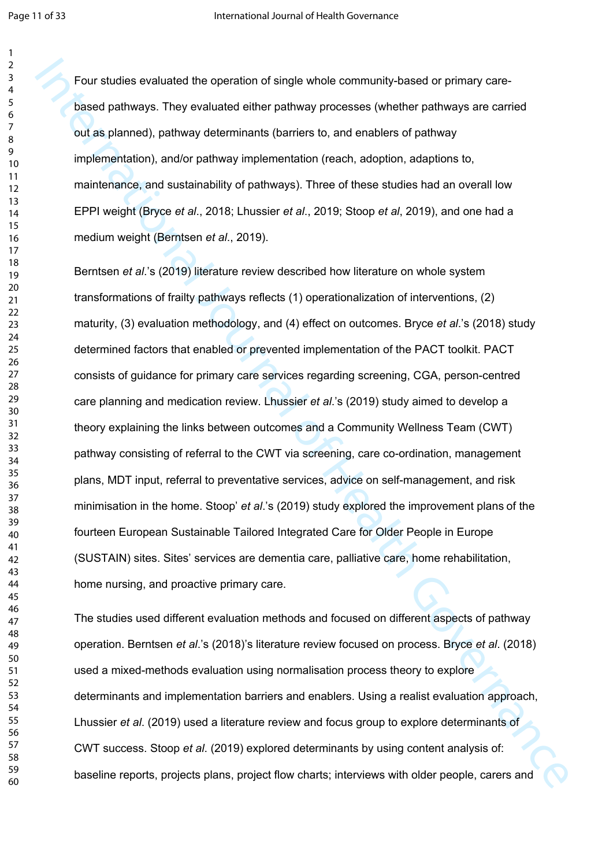Four studies evaluated the operation of single whole community-based or primary carebased pathways. They evaluated either pathway processes (whether pathways are carried out as planned), pathway determinants (barriers to, and enablers of pathway implementation), and/or pathway implementation (reach, adoption, adaptions to, maintenance, and sustainability of pathways). Three of these studies had an overall low EPPI weight (Bryce *et al*., 2018; Lhussier *et al*., 2019; Stoop *et al*, 2019), and one had a medium weight (Berntsen *et al*., 2019).

Four studies evaluated the operation of single whose community based or primary cases<br>to particle particles), particles particles particles particles particles are formed by the particles particles), particles particles, t Berntsen *et al*.'s (2019) literature review described how literature on whole system transformations of frailty pathways reflects (1) operationalization of interventions, (2) maturity, (3) evaluation methodology, and (4) effect on outcomes. Bryce *et al*.'s (2018) study determined factors that enabled or prevented implementation of the PACT toolkit. PACT consists of guidance for primary care services regarding screening, CGA, person-centred care planning and medication review. Lhussier *et al*.'s (2019) study aimed to develop a theory explaining the links between outcomes and a Community Wellness Team (CWT) pathway consisting of referral to the CWT via screening, care co-ordination, management plans, MDT input, referral to preventative services, advice on self-management, and risk minimisation in the home. Stoop' *et al*.'s (2019) study explored the improvement plans of the fourteen European Sustainable Tailored Integrated Care for Older People in Europe (SUSTAIN) sites. Sites' services are dementia care, palliative care, home rehabilitation, home nursing, and proactive primary care.

The studies used different evaluation methods and focused on different aspects of pathway operation. Berntsen *et al*.'s (2018)'s literature review focused on process. Bryce *et al*. (2018) used a mixed-methods evaluation using normalisation process theory to explore determinants and implementation barriers and enablers. Using a realist evaluation approach, Lhussier *et al*. (2019) used a literature review and focus group to explore determinants of CWT success. Stoop *et al*. (2019) explored determinants by using content analysis of: baseline reports, projects plans, project flow charts; interviews with older people, carers and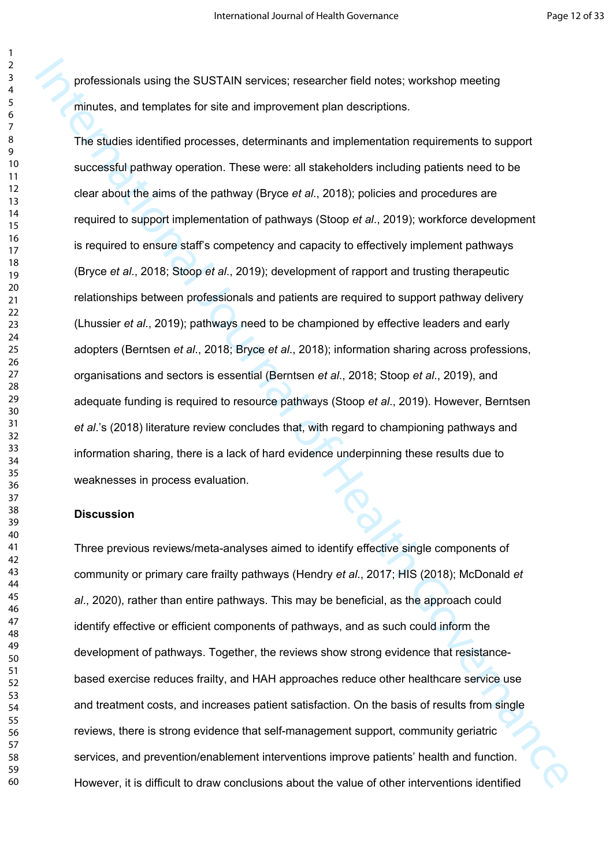professionals using the SUSTAIN services; researcher field notes; workshop meeting minutes, and templates for site and improvement plan descriptions.

professionals using the SUSTAIN services; researcher field notes; workshop meeting<br>minutes, and templates for site and improvement pian descriptions.<br>The studies identified processes, determinants and implementation requir The studies identified processes, determinants and implementation requirements to support successful pathway operation. These were: all stakeholders including patients need to be clear about the aims of the pathway (Bryce *et al*., 2018); policies and procedures are required to support implementation of pathways (Stoop *et al*., 2019); workforce development is required to ensure staff's competency and capacity to effectively implement pathways (Bryce *et al*., 2018; Stoop *et al*., 2019); development of rapport and trusting therapeutic relationships between professionals and patients are required to support pathway delivery (Lhussier *et al*., 2019); pathways need to be championed by effective leaders and early adopters (Berntsen *et al*., 2018; Bryce *et al*., 2018); information sharing across professions, organisations and sectors is essential (Berntsen *et al*., 2018; Stoop *et al*., 2019), and adequate funding is required to resource pathways (Stoop *et al*., 2019). However, Berntsen *et al*.'s (2018) literature review concludes that, with regard to championing pathways and information sharing, there is a lack of hard evidence underpinning these results due to weaknesses in process evaluation.

#### **Discussion**

Three previous reviews/meta-analyses aimed to identify effective single components of community or primary care frailty pathways (Hendry *et al*., 2017; HIS (2018); McDonald *et al*., 2020), rather than entire pathways. This may be beneficial, as the approach could identify effective or efficient components of pathways, and as such could inform the development of pathways. Together, the reviews show strong evidence that resistancebased exercise reduces frailty, and HAH approaches reduce other healthcare service use and treatment costs, and increases patient satisfaction. On the basis of results from single reviews, there is strong evidence that self-management support, community geriatric services, and prevention/enablement interventions improve patients' health and function. However, it is difficult to draw conclusions about the value of other interventions identified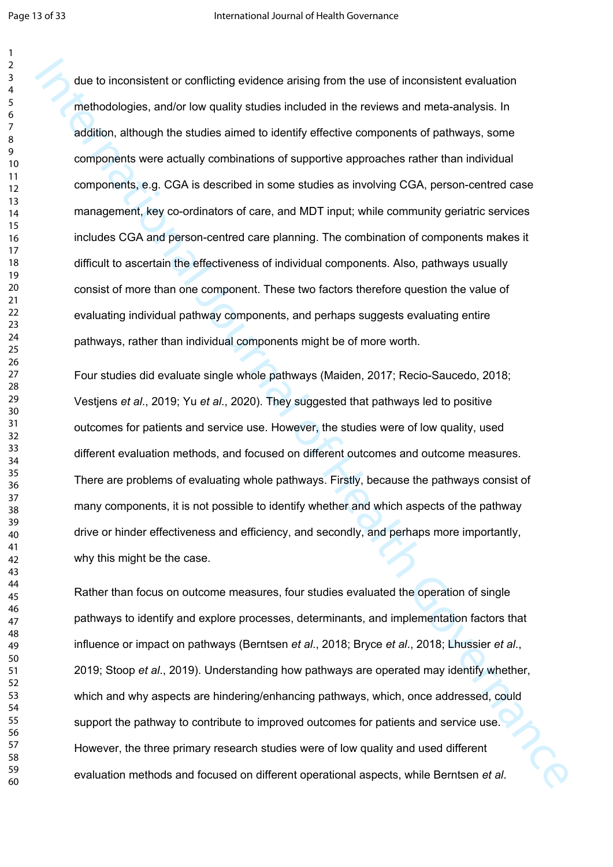due to inconsistent or conflicting evidence aretary from the use of inconsistent evaluation<br>methodologies, and or low quality studies included in the coveras and meta analysis. In<br>addition, although the studies aimed to id due to inconsistent or conflicting evidence arising from the use of inconsistent evaluation methodologies, and/or low quality studies included in the reviews and meta-analysis. In addition, although the studies aimed to identify effective components of pathways, some components were actually combinations of supportive approaches rather than individual components, e.g. CGA is described in some studies as involving CGA, person-centred case management, key co-ordinators of care, and MDT input; while community geriatric services includes CGA and person-centred care planning. The combination of components makes it difficult to ascertain the effectiveness of individual components. Also, pathways usually consist of more than one component. These two factors therefore question the value of evaluating individual pathway components, and perhaps suggests evaluating entire pathways, rather than individual components might be of more worth.

Four studies did evaluate single whole pathways (Maiden, 2017; Recio-Saucedo, 2018; Vestjens *et al*., 2019; Yu *et al*., 2020). They suggested that pathways led to positive outcomes for patients and service use. However, the studies were of low quality, used different evaluation methods, and focused on different outcomes and outcome measures. There are problems of evaluating whole pathways. Firstly, because the pathways consist of many components, it is not possible to identify whether and which aspects of the pathway drive or hinder effectiveness and efficiency, and secondly, and perhaps more importantly, why this might be the case.

Rather than focus on outcome measures, four studies evaluated the operation of single pathways to identify and explore processes, determinants, and implementation factors that influence or impact on pathways (Berntsen *et al*., 2018; Bryce *et al*., 2018; Lhussier *et al*., 2019; Stoop *et al*., 2019). Understanding how pathways are operated may identify whether, which and why aspects are hindering/enhancing pathways, which, once addressed, could support the pathway to contribute to improved outcomes for patients and service use. However, the three primary research studies were of low quality and used different evaluation methods and focused on different operational aspects, while Berntsen *et al*.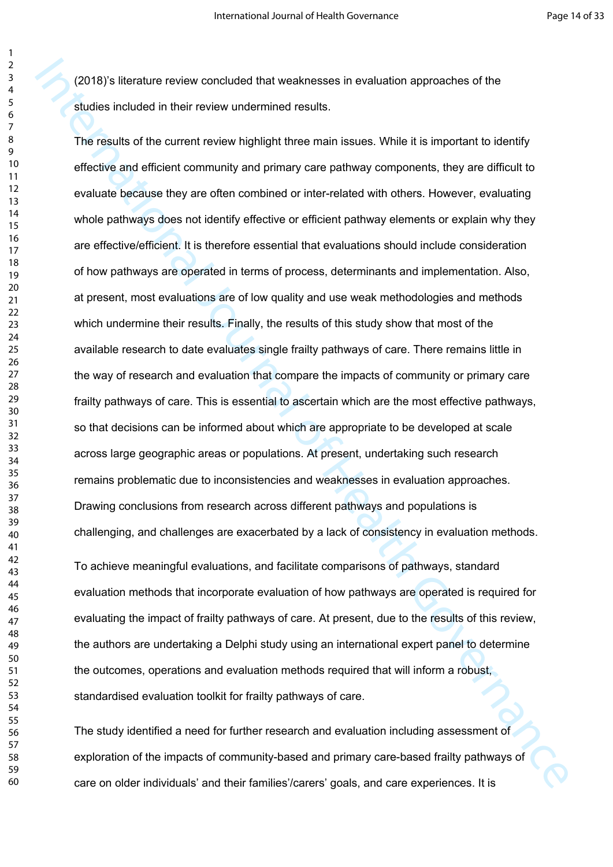(2018)'s literature review concluded that weaknesses in evaluation approaches of the studies included in their review undermined results.

(2018)s literature review concluded that weaknesses in evaluation approaches of the<br>studies included in their review undermined results.<br>The results of the current review indefinith three main issues. While It is important The results of the current review highlight three main issues. While it is important to identify effective and efficient community and primary care pathway components, they are difficult to evaluate because they are often combined or inter-related with others. However, evaluating whole pathways does not identify effective or efficient pathway elements or explain why they are effective/efficient. It is therefore essential that evaluations should include consideration of how pathways are operated in terms of process, determinants and implementation. Also, at present, most evaluations are of low quality and use weak methodologies and methods which undermine their results. Finally, the results of this study show that most of the available research to date evaluates single frailty pathways of care. There remains little in the way of research and evaluation that compare the impacts of community or primary care frailty pathways of care. This is essential to ascertain which are the most effective pathways, so that decisions can be informed about which are appropriate to be developed at scale across large geographic areas or populations. At present, undertaking such research remains problematic due to inconsistencies and weaknesses in evaluation approaches. Drawing conclusions from research across different pathways and populations is challenging, and challenges are exacerbated by a lack of consistency in evaluation methods.

To achieve meaningful evaluations, and facilitate comparisons of pathways, standard evaluation methods that incorporate evaluation of how pathways are operated is required for evaluating the impact of frailty pathways of care. At present, due to the results of this review, the authors are undertaking a Delphi study using an international expert panel to determine the outcomes, operations and evaluation methods required that will inform a robust, standardised evaluation toolkit for frailty pathways of care.

The study identified a need for further research and evaluation including assessment of exploration of the impacts of community-based and primary care-based frailty pathways of care on older individuals' and their families'/carers' goals, and care experiences. It is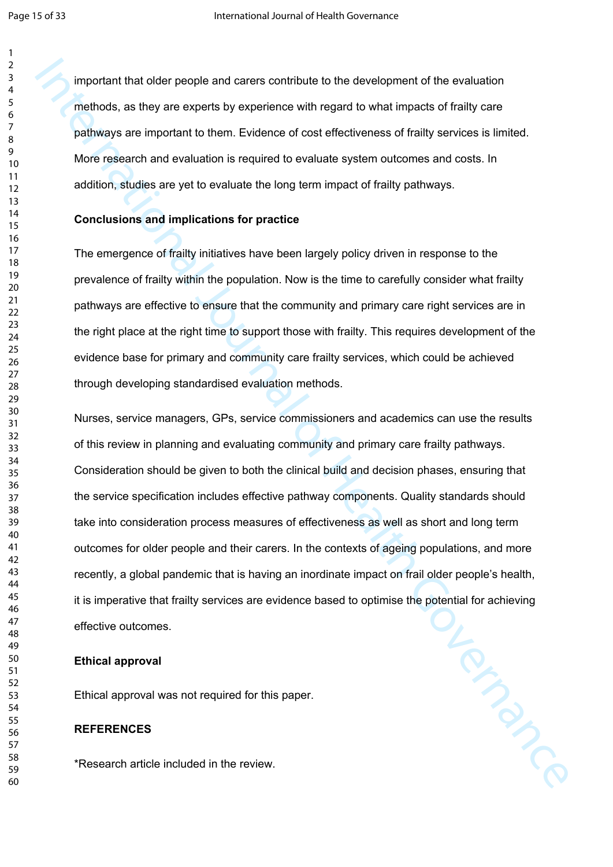important that older people and carers contribute to the development of the evaluation methods, as they are experts by experience with regard to what impacts of frailty care pathways are important to them. Evidence of cost effectiveness of frailty services is limited. More research and evaluation is required to evaluate system outcomes and costs. In addition, studies are yet to evaluate the long term impact of frailty pathways.

#### **Conclusions and implications for practice**

The emergence of frailty initiatives have been largely policy driven in response to the prevalence of frailty within the population. Now is the time to carefully consider what frailty pathways are effective to ensure that the community and primary care right services are in the right place at the right time to support those with frailty. This requires development of the evidence base for primary and community care frailty services, which could be achieved through developing standardised evaluation methods.

Important that older people and coners contituate bine owere/ponent of the evaluation<br>methods, as they are experist by experience with regard to what impacts of frailly carre<br>pathways are important to them. Evidence of cos Nurses, service managers, GPs, service commissioners and academics can use the results of this review in planning and evaluating community and primary care frailty pathways. Consideration should be given to both the clinical build and decision phases, ensuring that the service specification includes effective pathway components. Quality standards should take into consideration process measures of effectiveness as well as short and long term outcomes for older people and their carers. In the contexts of ageing populations, and more recently, a global pandemic that is having an inordinate impact on frail older people's health, it is imperative that frailty services are evidence based to optimise the potential for achieving effective outcomes.

#### **Ethical approval**

Ethical approval was not required for this paper.

#### **REFERENCES**

\*Research article included in the review.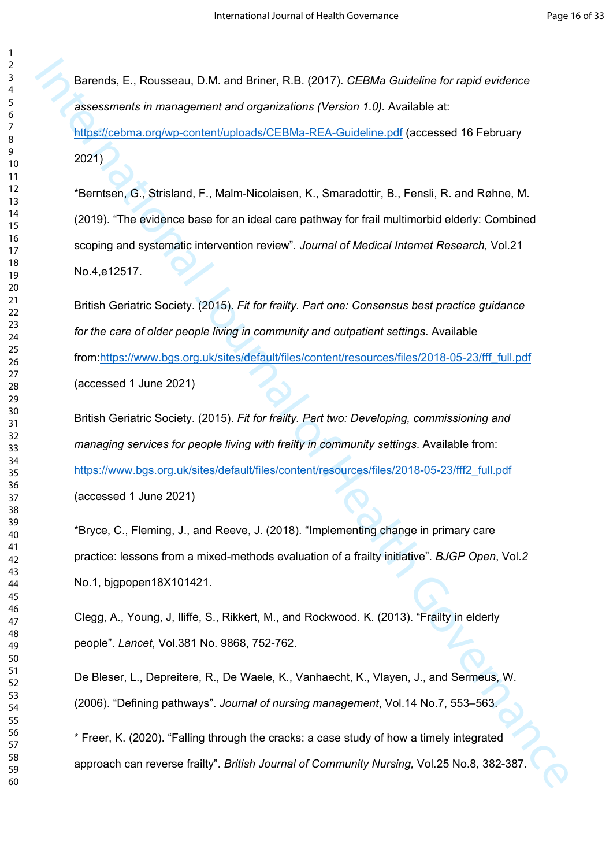Barends, E., Rousseau, D.M. and Briner, R.B. (2017). *CEBMa Guideline for rapid evidence assessments in management and organizations (Version 1.0).* Available at: https://cebma.org/wp-content/uploads/CEBMa-REA-Guideline.pdf (accessed 16 February 2021)

Int[er](https://cebma.org/wp-content/uploads/CEBMa-REA-Guideline.pdf)nation, E., Rousseau, D.M. and Hinee; IR H. (2017). CEBMa Guideline for mold evidence<br>assessments in management and organizations (Version 1.0). Available of:<br>
https://columa.org/vy-contem/uploads/CEBMa-REA-Cuideline. \*Berntsen, G., Strisland, F., Malm-Nicolaisen, K., Smaradottir, B., Fensli, R. and Røhne, M. (2019). "The evidence base for an ideal care pathway for frail multimorbid elderly: Combined scoping and systematic intervention review"*. Journal of Medical Internet Research,* Vol.21 No.4,e12517.

British Geriatric Society. (2015). *Fit for frailty. Part one: Consensus best practice guidance for the care of older people living in community and outpatient settings*. Available from:https://www.bgs.org.uk/sites/default/files/content/resources/files/2018-05-23/fff\_full.pdf (accessed 1 June 2021)

British Geriatric Society. (2015). *Fit for frailty. Part two: Developing, commissioning and managing services for people living with frailty in community settings*. Available from: https://www.bgs.org.uk/sites/default/files/content/resources/files/2018-05-23/fff2\_full.pdf (accessed 1 June 2021)

\*Bryce, C., Fleming, J., and Reeve, J. (2018). "Implementing change in primary care practice: lessons from a mixed-methods evaluation of a frailty initiative". *BJGP Open*, Vol.*2*  No.1, bjgpopen18X101421.

Clegg, A., Young, J, Iliffe, S., Rikkert, M., and Rockwood. K. (2013). "Frailty in elderly people". *Lancet*, Vol.381 No. 9868, 752-762.

De Bleser, L., Depreitere, R., De Waele, K., Vanhaecht, K., Vlayen, J., and Sermeus, W. (2006). "Defining pathways". *Journal of nursing management*, Vol.14 No.7, 553–563.

\* Freer, K. (2020). "Falling through the cracks: a case study of how a timely integrated approach can reverse frailty". *British Journal of Community Nursing,* Vol.25 No.8, 382-387.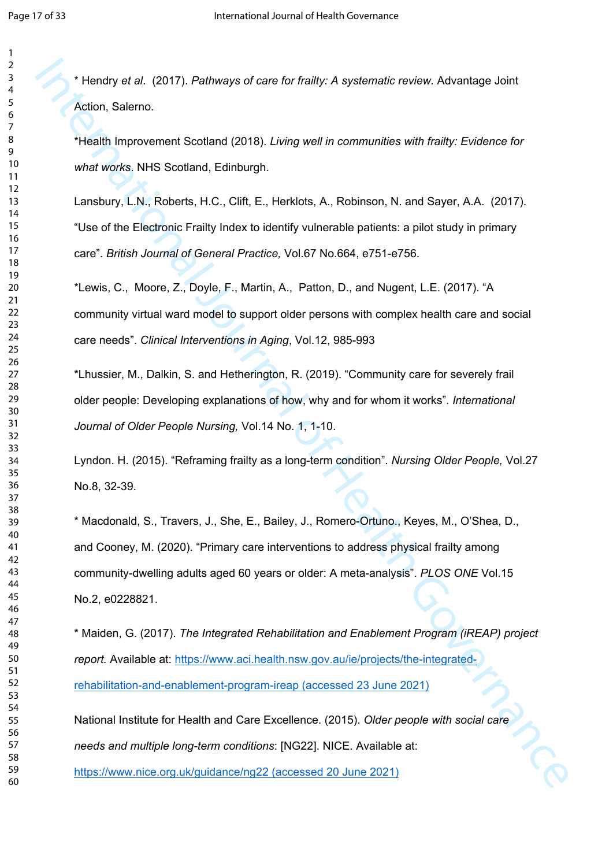\* Hendry *et al*. (2017). *Pathways of care for frailty: A systematic review.* Advantage Joint Action, Salerno.

\*Health Improvement Scotland (2018). *Living well in communities with frailty: Evidence for what works*. NHS Scotland, Edinburgh.

Lansbury, L.N., Roberts, H.C., Clift, E., Herklots, A., Robinson, N. and Sayer, A.A. (2017). "Use of the Electronic Frailty Index to identify vulnerable patients: a pilot study in primary care". *British Journal of General Practice,* Vol.67 No.664, e751-e756.

\*Lewis, C., Moore, Z., Doyle, F., Martin, A., Patton, D., and Nugent, L.E. (2017). "A community virtual ward model to support older persons with complex health care and social care needs". *Clinical Interventions in Aging*, Vol.12, 985-993

\*Lhussier, M., Dalkin, S. and Hetherington, R. (2019). "Community care for severely frail older people: Developing explanations of how, why and for whom it works". *International Journal of Older People Nursing,* Vol.14 No. 1, 1-10.

Lyndon. H. (2015). "Reframing frailty as a long-term condition". *Nursing Older People,* Vol.27 No.8, 32-39.

<sup>2</sup> Hendry et ai. (2017). Pathways of care for frailty: A systematic rewiew. Advantage Joint<br>Adion, Salemo.<br>
11exilh Improvement Scotland (2018). *Living well* in communities with frailty: Lividence for<br>
unal [ver](https://www.aci.health.nsw.gov.au/ie/projects/the-integrated-rehabilitation-and-enablement-program-ireap)ica. NHS S \* Macdonald, S., Travers, J., She, E., Bailey, J., Romero-Ortuno., Keyes, M., O'Shea, D., and Cooney, M. (2020). "Primary care interventions to address physical frailty among community-dwelling adults aged 60 years or older: A meta-analysis". *PLOS ONE* Vol.15 No.2, e0228821.

\* Maiden, G. (2017). *The Integrated Rehabilitation and Enablement Program (iREAP) project report.* Available at: https://www.aci.health.nsw.gov.au/ie/projects/the-integratedrehabilitation-and-enablement-program-ireap (accessed 23 June 2021)

National Institute for Health and Care Excellence. (2015). *Older people with social care needs and multiple long-term conditions*: [NG22]. NICE. Available at:

https://www.nice.org.uk/guidance/ng22 (accessed 20 June 2021)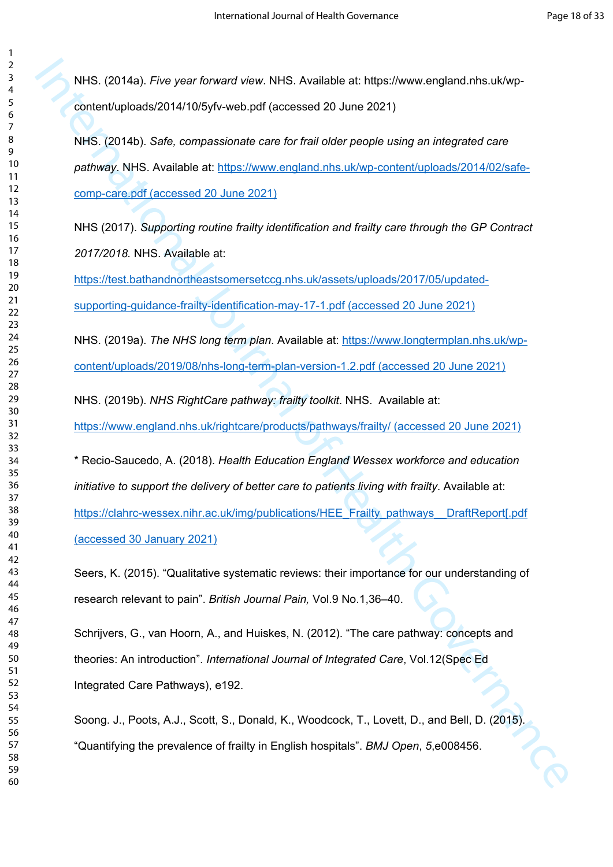NHS. (2014a). *Five year forward view*. NHS. Available at: https://www.england.nhs.uk/wpcontent/uploads/2014/10/5yfv-web.pdf (accessed 20 June 2021)

NHS. (2014b). *Safe, compassionate care for frail older people using an integrated care pathway*. NHS. Available at: https://www.england.nhs.uk/wp-content/uploads/2014/02/safecomp-care.pdf (accessed 20 June 2021)

NHS (2017). *Supporting routine frailty identification and frailty care through the GP Contract 2017/2018.* NHS. Available at:

https://test.bathandnortheastsomersetccg.nhs.uk/assets/uploads/2017/05/updatedsupporting-guidance-frailty-identification-may-17-1.pdf (accessed 20 June 2021)

NHS. (2019a). *The NHS long term plan*. Available at: https://www.longtermplan.nhs.uk/wpcontent/uploads/2019/08/nhs-long-term-plan-version-1.2.pdf (accessed 20 June 2021)

NHS. (2019b). *NHS RightCare pathway: frailty toolkit*. NHS. Available at: https://www.england.nhs.uk/rightcare/products/pathways/frailty/ (accessed 20 June 2021)

NHS. (2014a). Pive year foreset wiew. NHS. Available at: https://www.england.nhs.uk/wp<br>con[te](https://www.england.nhs.uk/wp-content/uploads/2014/10/5yfv-web.pdf)nt/uploads/2014/10/5y/v-web.polf (accessed 20 June 2021)<br>NHS. (2014b). Safe, compossionate care for M[al](https://test.bathandnortheastsomersetccg.nhs.uk/assets/uploads/2017/05/updated-supporting-guidance-frailty-identification-may-17-1.pdf) older people using an inte \* Recio-Saucedo, A. (2018). *Health Education England Wessex workforce and education initiative to support the delivery of better care to patients living with frailty. Available at:* https://clahrc-wessex.nihr.ac.uk/img/publications/HEE\_Frailty\_pathways\_\_DraftReport[.pdf (accessed 30 January 2021)

Seers, K. (2015). "Qualitative systematic reviews: their importance for our understanding of research relevant to pain". *British Journal Pain,* Vol.9 No.1,36–40.

Schrijvers, G., van Hoorn, A., and Huiskes, N. (2012). "The care pathway: concepts and theories: An introduction". *International Journal of Integrated Care*, Vol.12(Spec Ed Integrated Care Pathways), e192.

Soong. J., Poots, A.J., Scott, S., Donald, K., Woodcock, T., Lovett, D., and Bell, D. (2015). "Quantifying the prevalence of frailty in English hospitals". *BMJ Open*, *5*,e008456.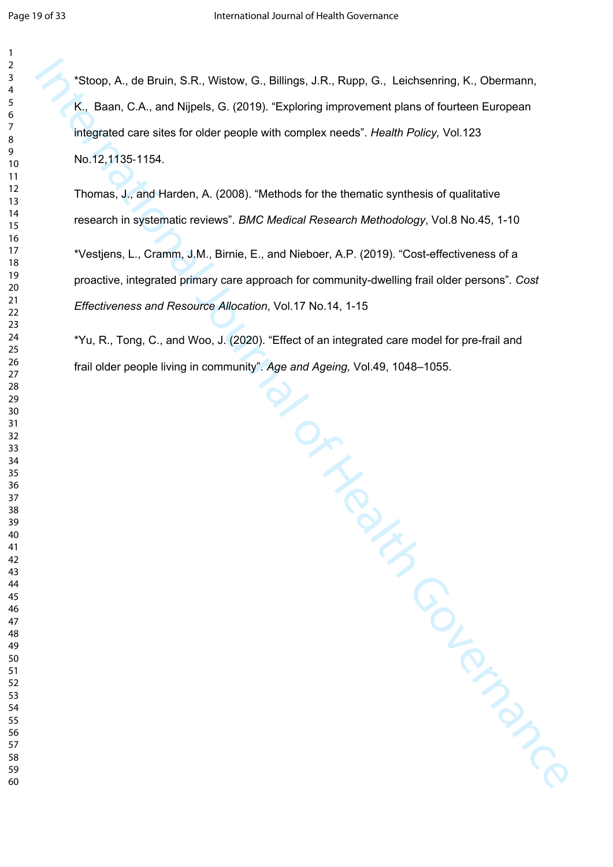\*Stoop, A., de Bruin, S.R., Wistow, G., Billings, J.R., Rupp, G., Leichsenring, K., Obermann, K., Baan, C.A., and Nijpels, G. (2019). "Exploring improvement plans of fourteen European integrated care sites for older people with complex needs". *Health Policy,* Vol.123 No.12,1135‐1154.

Thomas, J., and Harden, A. (2008). "Methods for the thematic synthesis of qualitative research in systematic reviews". *BMC Medical Research Methodology*, Vol.8 No.45, 1-10

\*Vestjens, L., Cramm, J.M., Birnie, E., and Nieboer, A.P. (2019). "Cost-effectiveness of a proactive, integrated primary care approach for community-dwelling frail older persons". *Cost Effectiveness and Resource Allocation*, Vol.17 No.14, 1-15

\*Yu, R., Tong, C., and Woo, J. (2020). "Effect of an integrated care model for pre-frail and frail older people living in community". *Age and Ageing,* Vol.49, 1048–1055.

Nu<br>Beand Ageing, Vo.<br>Althourn[al](about:blank) of Health Governance<br>Control Control Control of Control Control Control Control Control Control Control Control Control Control Control Control Control Control Control Control Control Contro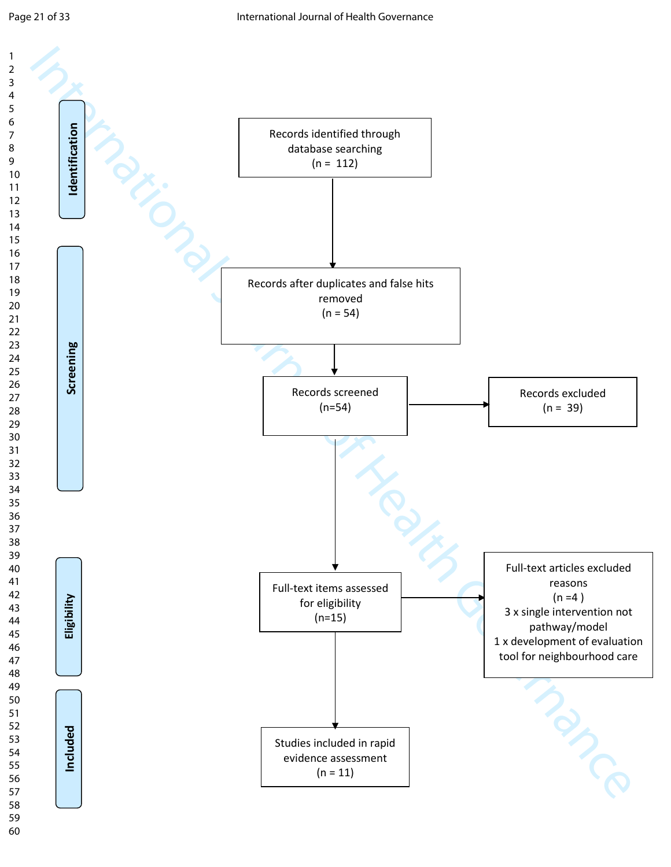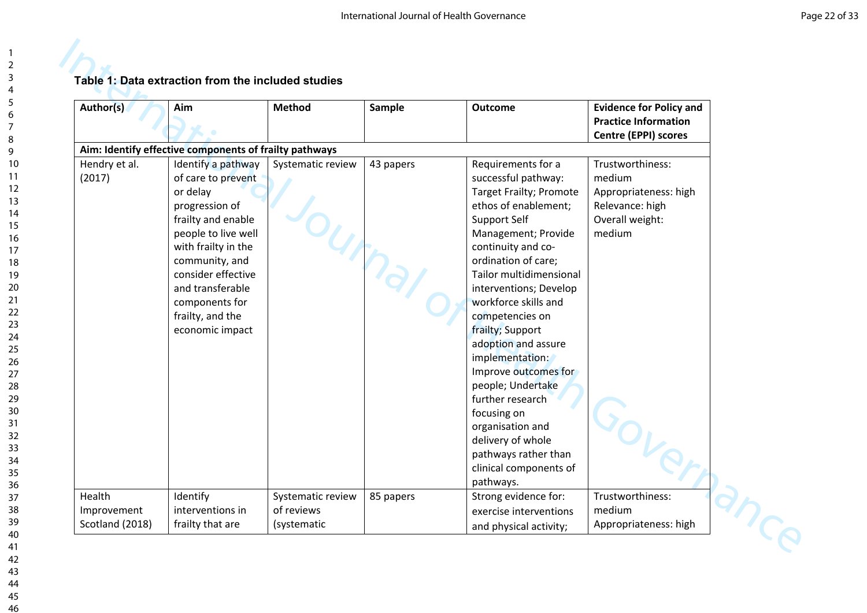| Aim: Identify effective components of frailty pathways<br>Identify a pathway<br>of care to prevent<br>or delay<br>progression of<br>frailty and enable<br>people to live well<br>with frailty in the<br>community, and<br>consider effective | Systematic review               | 43 papers   | Requirements for a<br>successful pathway:<br><b>Target Frailty; Promote</b><br>ethos of enablement;<br>Support Self<br>Management; Provide<br>continuity and co-                                                                                                                                                                                             | Trustworthiness:<br>medium<br>Appropriateness: high<br>Relevance: high<br>Overall weight:<br>medium |
|----------------------------------------------------------------------------------------------------------------------------------------------------------------------------------------------------------------------------------------------|---------------------------------|-------------|--------------------------------------------------------------------------------------------------------------------------------------------------------------------------------------------------------------------------------------------------------------------------------------------------------------------------------------------------------------|-----------------------------------------------------------------------------------------------------|
|                                                                                                                                                                                                                                              |                                 |             |                                                                                                                                                                                                                                                                                                                                                              |                                                                                                     |
| and transferable<br>components for<br>frailty, and the<br>economic impact                                                                                                                                                                    |                                 |             | ordination of care;<br>Tailor multidimensional<br>interventions; Develop<br>workforce skills and<br>competencies on<br>frailty; Support<br>adoption and assure<br>implementation:<br>Improve outcomes for<br>people; Undertake<br>further research<br>focusing on<br>organisation and<br>delivery of whole<br>pathways rather than<br>clinical components of |                                                                                                     |
| Identify<br>interventions in                                                                                                                                                                                                                 | Systematic review<br>of reviews | 85 papers   | Strong evidence for:<br>exercise interventions                                                                                                                                                                                                                                                                                                               | Trustworthiness:<br>medium                                                                          |
|                                                                                                                                                                                                                                              | frailty that are                | (systematic |                                                                                                                                                                                                                                                                                                                                                              | pathways.<br>and physical activity;                                                                 |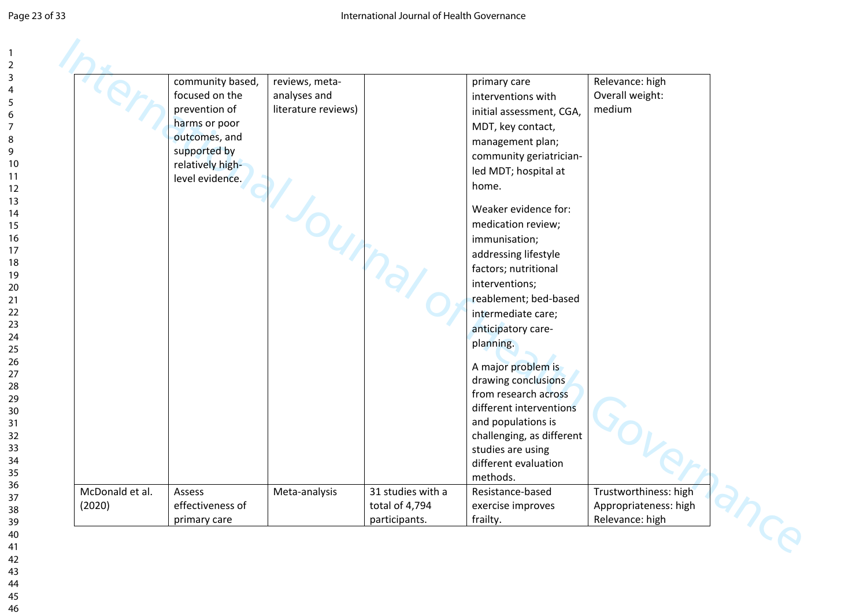|                           | community based,<br>focused on the<br>prevention of<br>harms or poor<br>outcomes, and<br>supported by<br>relatively high-<br>level evidence. | reviews, meta-<br>analyses and<br>literature reviews) |                                                      | primary care<br>interventions with<br>initial assessment, CGA,<br>MDT, key contact,<br>management plan;<br>community geriatrician-<br>led MDT; hospital at<br>home.<br>Weaker evidence for:<br>medication review;<br>immunisation;<br>addressing lifestyle<br>factors; nutritional<br>interventions;<br>reablement; bed-based<br>intermediate care;<br>anticipatory care-<br>planning.<br>A major problem is<br>drawing conclusions<br>from research across<br>different interventions<br>and populations is<br>challenging, as different<br>studies are using<br>different evaluation | Relevance: high<br>Overall weight:<br>medium                      |  |
|---------------------------|----------------------------------------------------------------------------------------------------------------------------------------------|-------------------------------------------------------|------------------------------------------------------|----------------------------------------------------------------------------------------------------------------------------------------------------------------------------------------------------------------------------------------------------------------------------------------------------------------------------------------------------------------------------------------------------------------------------------------------------------------------------------------------------------------------------------------------------------------------------------------|-------------------------------------------------------------------|--|
| McDonald et al.<br>(2020) | Assess<br>effectiveness of<br>primary care                                                                                                   | Meta-analysis                                         | 31 studies with a<br>total of 4,794<br>participants. | methods.<br>Resistance-based<br>exercise improves<br>frailty.                                                                                                                                                                                                                                                                                                                                                                                                                                                                                                                          | Trustworthiness: high<br>Appropriateness: high<br>Relevance: high |  |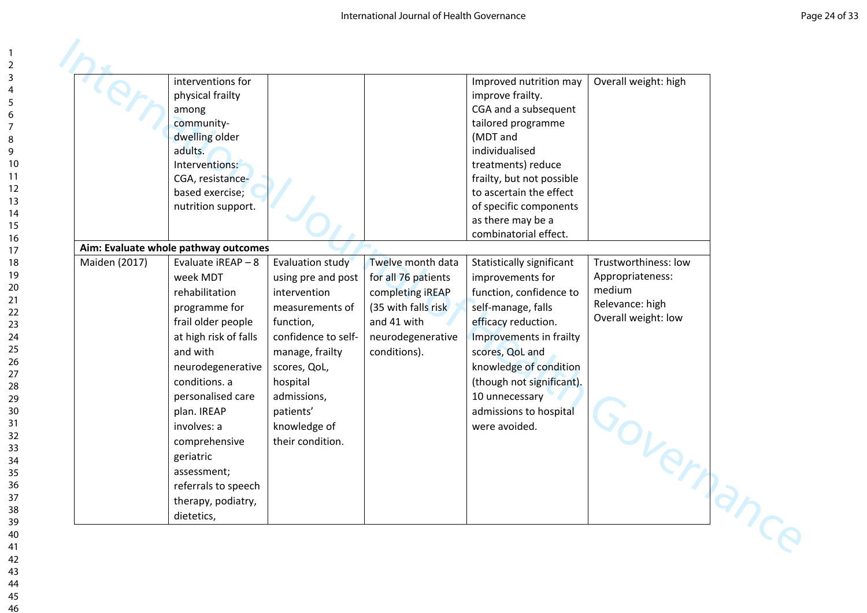|               | interventions for                    |                     |                      | Improved nutrition may    | Overall weight: high |  |
|---------------|--------------------------------------|---------------------|----------------------|---------------------------|----------------------|--|
|               | physical frailty                     |                     |                      | improve frailty.          |                      |  |
|               | among                                |                     |                      | CGA and a subsequent      |                      |  |
|               | community-                           |                     |                      | tailored programme        |                      |  |
|               | dwelling older                       |                     |                      | (MDT and                  |                      |  |
|               | adults.                              |                     |                      | individualised            |                      |  |
|               | Interventions:                       |                     |                      | treatments) reduce        |                      |  |
|               | CGA, resistance-                     |                     |                      | frailty, but not possible |                      |  |
|               | based exercise;                      |                     |                      | to ascertain the effect   |                      |  |
|               | nutrition support.                   |                     |                      | of specific components    |                      |  |
|               |                                      |                     |                      | as there may be a         |                      |  |
|               |                                      |                     |                      | combinatorial effect.     |                      |  |
|               | Aim: Evaluate whole pathway outcomes |                     |                      |                           |                      |  |
| Maiden (2017) | Evaluate iREAP - 8                   | Evaluation study    | Twelve month data    | Statistically significant | Trustworthiness: low |  |
|               | week MDT                             | using pre and post  | for all 76 patients  | improvements for          | Appropriateness:     |  |
|               | rehabilitation                       | intervention        | completing iREAP     | function, confidence to   | medium               |  |
|               | programme for                        | measurements of     | (35 with falls risk) | self-manage, falls        | Relevance: high      |  |
|               | frail older people                   | function,           | and 41 with          | efficacy reduction.       | Overall weight: low  |  |
|               | at high risk of falls                | confidence to self- | neurodegenerative    | Improvements in frailty   |                      |  |
|               | and with                             | manage, frailty     | conditions).         | scores, QoL and           |                      |  |
|               | neurodegenerative                    | scores, QoL,        |                      | knowledge of condition    |                      |  |
|               | conditions. a                        | hospital            |                      | (though not significant). |                      |  |
|               | personalised care                    | admissions,         |                      | 10 unnecessary            |                      |  |
|               | plan. IREAP                          | patients'           |                      | admissions to hospital    |                      |  |
|               | involves: a                          | knowledge of        |                      | were avoided.             |                      |  |
|               | comprehensive                        | their condition.    |                      |                           |                      |  |
|               | geriatric                            |                     |                      |                           |                      |  |
|               | assessment;                          |                     |                      |                           |                      |  |
|               | referrals to speech                  |                     |                      |                           |                      |  |
|               | therapy, podiatry,                   |                     |                      |                           | Governo              |  |
|               | dietetics,                           |                     |                      |                           |                      |  |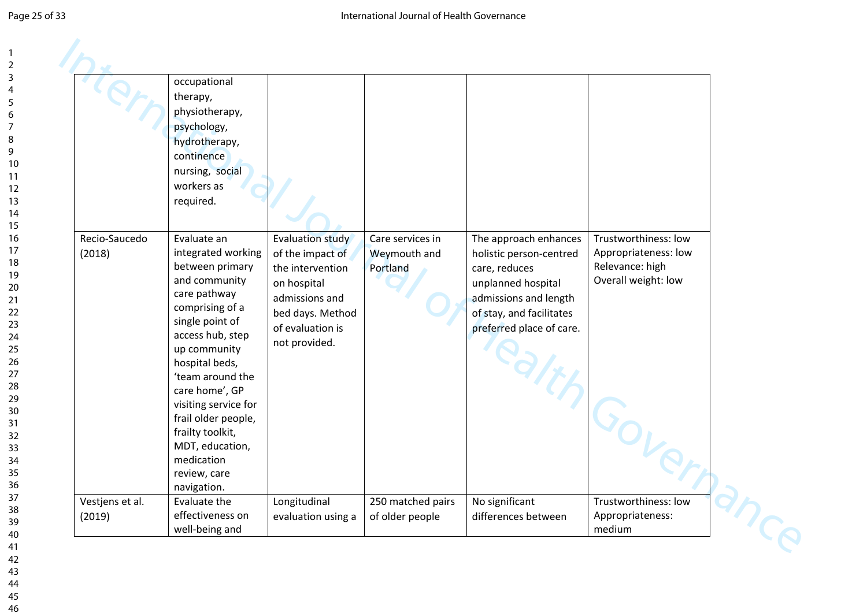|                           | occupational<br>therapy,<br>physiotherapy,<br>psychology,<br>hydrotherapy,<br>continence<br>nursing, social<br>workers as<br>required.                                                                                                                                                                                                                     |                                                                                                                                                           |                                              |                                                                                                                                                                          |                                                                                        |
|---------------------------|------------------------------------------------------------------------------------------------------------------------------------------------------------------------------------------------------------------------------------------------------------------------------------------------------------------------------------------------------------|-----------------------------------------------------------------------------------------------------------------------------------------------------------|----------------------------------------------|--------------------------------------------------------------------------------------------------------------------------------------------------------------------------|----------------------------------------------------------------------------------------|
| Recio-Saucedo<br>(2018)   | Evaluate an<br>integrated working<br>between primary<br>and community<br>care pathway<br>comprising of a<br>single point of<br>access hub, step<br>up community<br>hospital beds,<br>'team around the<br>care home', GP<br>visiting service for<br>frail older people,<br>frailty toolkit,<br>MDT, education,<br>medication<br>review, care<br>navigation. | <b>Evaluation study</b><br>of the impact of<br>the intervention<br>on hospital<br>admissions and<br>bed days. Method<br>of evaluation is<br>not provided. | Care services in<br>Weymouth and<br>Portland | The approach enhances<br>holistic person-centred<br>care, reduces<br>unplanned hospital<br>admissions and length<br>of stay, and facilitates<br>preferred place of care. | Trustworthiness: low<br>Appropriateness: low<br>Relevance: high<br>Overall weight: low |
| Vestjens et al.<br>(2019) | Evaluate the<br>effectiveness on<br>well-being and                                                                                                                                                                                                                                                                                                         | Longitudinal<br>evaluation using a                                                                                                                        | 250 matched pairs<br>of older people         | No significant<br>differences between                                                                                                                                    | Trustworthiness: low<br>Appropriateness:<br>medium                                     |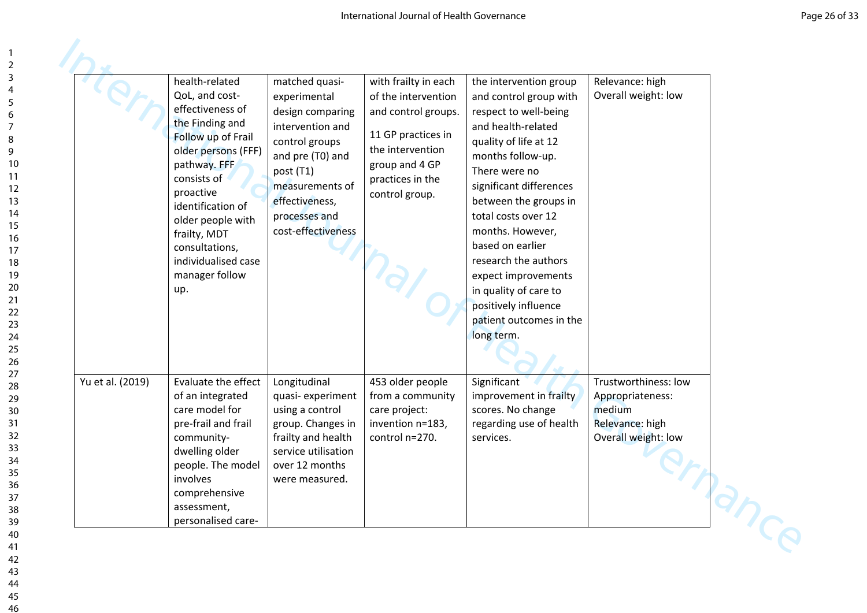|                  | health-related<br>QoL, and cost-<br>effectiveness of<br>the Finding and<br>Follow up of Frail<br>older persons (FFF)<br>pathway. FFF<br>consists of<br>proactive<br>identification of<br>older people with<br>frailty, MDT<br>consultations,<br>individualised case<br>manager follow<br>up. | matched quasi-<br>experimental<br>design comparing<br>intervention and<br>control groups<br>and pre (T0) and<br>post (T1)<br>measurements of<br>effectiveness,<br>processes and<br>cost-effectiveness | with frailty in each<br>of the intervention<br>and control groups.<br>11 GP practices in<br>the intervention<br>group and 4 GP<br>practices in the<br>control group. | the intervention group<br>and control group with<br>respect to well-being<br>and health-related<br>quality of life at 12<br>months follow-up.<br>There were no<br>significant differences<br>between the groups in<br>total costs over 12<br>months. However,<br>based on earlier<br>research the authors<br>expect improvements<br>in quality of care to<br>positively influence<br>patient outcomes in the<br>long term. | Relevance: high<br>Overall weight: low                                                       |  |
|------------------|----------------------------------------------------------------------------------------------------------------------------------------------------------------------------------------------------------------------------------------------------------------------------------------------|-------------------------------------------------------------------------------------------------------------------------------------------------------------------------------------------------------|----------------------------------------------------------------------------------------------------------------------------------------------------------------------|----------------------------------------------------------------------------------------------------------------------------------------------------------------------------------------------------------------------------------------------------------------------------------------------------------------------------------------------------------------------------------------------------------------------------|----------------------------------------------------------------------------------------------|--|
| Yu et al. (2019) | Evaluate the effect<br>of an integrated<br>care model for<br>pre-frail and frail<br>community-<br>dwelling older<br>people. The model<br>involves<br>comprehensive<br>assessment,<br>personalised care-                                                                                      | Longitudinal<br>quasi-experiment<br>using a control<br>group. Changes in<br>frailty and health<br>service utilisation<br>over 12 months<br>were measured.                                             | 453 older people<br>from a community<br>care project:<br>invention n=183,<br>control n=270.                                                                          | Significant<br>improvement in frailty<br>scores. No change<br>regarding use of health<br>services.                                                                                                                                                                                                                                                                                                                         | Trustworthiness: low<br>Appropriateness:<br>medium<br>Relevance: high<br>Overall weight: low |  |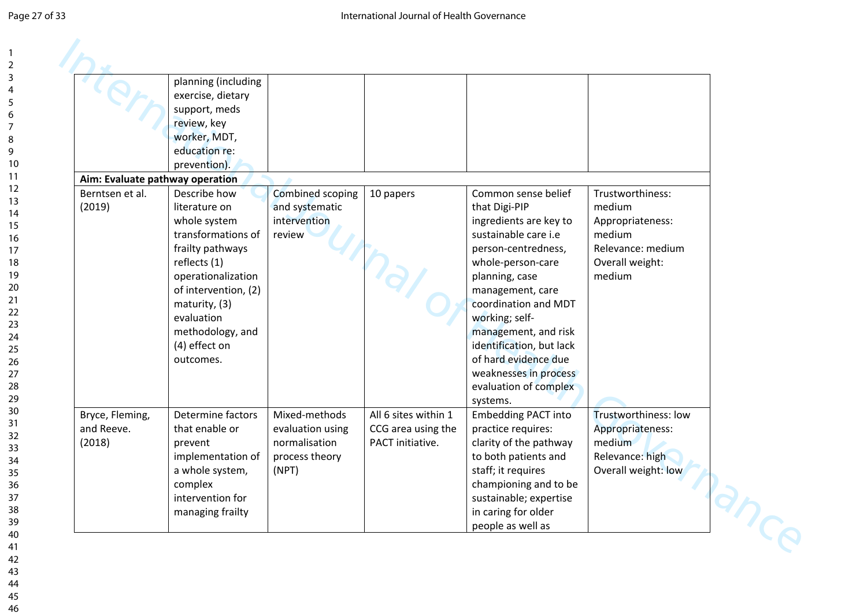|                                         | planning (including<br>exercise, dietary<br>support, meds<br>review, key<br>worker, MDT,<br>education re:<br>prevention).                                                                                                              |                                                                               |                                                                |                                                                                                                                                                                                                                                                                                                                                              |                                                                                                            |
|-----------------------------------------|----------------------------------------------------------------------------------------------------------------------------------------------------------------------------------------------------------------------------------------|-------------------------------------------------------------------------------|----------------------------------------------------------------|--------------------------------------------------------------------------------------------------------------------------------------------------------------------------------------------------------------------------------------------------------------------------------------------------------------------------------------------------------------|------------------------------------------------------------------------------------------------------------|
| Aim: Evaluate pathway operation         |                                                                                                                                                                                                                                        |                                                                               |                                                                |                                                                                                                                                                                                                                                                                                                                                              |                                                                                                            |
| Berntsen et al.<br>(2019)               | Describe how<br>literature on<br>whole system<br>transformations of<br>frailty pathways<br>reflects (1)<br>operationalization<br>of intervention, (2)<br>maturity, (3)<br>evaluation<br>methodology, and<br>(4) effect on<br>outcomes. | Combined scoping<br>and systematic<br>intervention<br>review                  | 10 papers                                                      | Common sense belief<br>that Digi-PIP<br>ingredients are key to<br>sustainable care i.e<br>person-centredness,<br>whole-person-care<br>planning, case<br>management, care<br>coordination and MDT<br>working; self-<br>management, and risk<br>identification, but lack<br>of hard evidence due<br>weaknesses in process<br>evaluation of complex<br>systems. | Trustworthiness:<br>medium<br>Appropriateness:<br>medium<br>Relevance: medium<br>Overall weight:<br>medium |
| Bryce, Fleming,<br>and Reeve.<br>(2018) | Determine factors<br>that enable or<br>prevent<br>implementation of<br>a whole system,<br>complex<br>intervention for<br>managing frailty                                                                                              | Mixed-methods<br>evaluation using<br>normalisation<br>process theory<br>(NPT) | All 6 sites within 1<br>CCG area using the<br>PACT initiative. | <b>Embedding PACT into</b><br>practice requires:<br>clarity of the pathway<br>to both patients and<br>staff; it requires<br>championing and to be<br>sustainable; expertise<br>in caring for older<br>people as well as                                                                                                                                      | Trustworthiness: low<br>Appropriateness:<br>medium<br>Relevance: high<br>Overall weight: low               |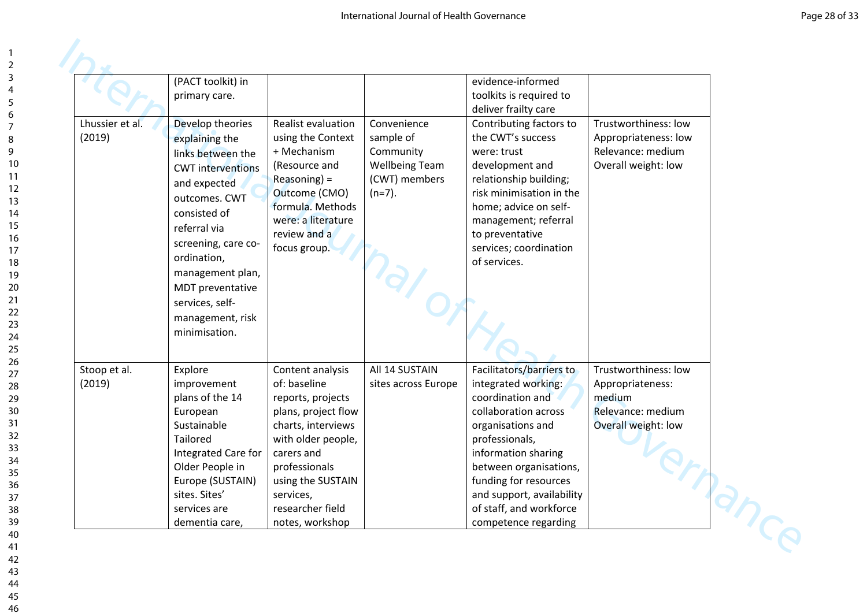|                           | (PACT toolkit) in<br>primary care.                                                                                                                                                                             |                                                                                                                                                                                                              |                                                                                              | evidence-informed<br>toolkits is required to                                                                                                                                                                                                                               |                                                                                          |  |
|---------------------------|----------------------------------------------------------------------------------------------------------------------------------------------------------------------------------------------------------------|--------------------------------------------------------------------------------------------------------------------------------------------------------------------------------------------------------------|----------------------------------------------------------------------------------------------|----------------------------------------------------------------------------------------------------------------------------------------------------------------------------------------------------------------------------------------------------------------------------|------------------------------------------------------------------------------------------|--|
| Lhussier et al.<br>(2019) | Develop theories<br>explaining the<br>links between the<br><b>CWT</b> interventions<br>and expected<br>outcomes. CWT<br>consisted of<br>referral via<br>screening, care co-<br>ordination,<br>management plan, | Realist evaluation<br>using the Context<br>+ Mechanism<br>(Resource and<br>$Reasoning) =$<br>Outcome (CMO)<br>formula. Methods<br>were: a literature<br>review and a<br>focus group.                         | Convenience<br>sample of<br>Community<br><b>Wellbeing Team</b><br>(CWT) members<br>$(n=7)$ . | deliver frailty care<br>Contributing factors to<br>the CWT's success<br>were: trust<br>development and<br>relationship building;<br>risk minimisation in the<br>home; advice on self-<br>management; referral<br>to preventative<br>services; coordination<br>of services. | Trustworthiness: low<br>Appropriateness: low<br>Relevance: medium<br>Overall weight: low |  |
| Stoop et al.              | MDT preventative<br>services, self-<br>management, risk<br>minimisation.<br>Explore                                                                                                                            | Content analysis                                                                                                                                                                                             | All 14 SUSTAIN                                                                               | Facilitators/barriers to                                                                                                                                                                                                                                                   | Trustworthiness: low                                                                     |  |
| (2019)                    | improvement<br>plans of the 14<br>European<br>Sustainable<br>Tailored<br>Integrated Care for<br>Older People in<br>Europe (SUSTAIN)<br>sites. Sites'<br>services are<br>dementia care,                         | of: baseline<br>reports, projects<br>plans, project flow<br>charts, interviews<br>with older people,<br>carers and<br>professionals<br>using the SUSTAIN<br>services,<br>researcher field<br>notes, workshop | sites across Europe                                                                          | integrated working:<br>coordination and<br>collaboration across<br>organisations and<br>professionals,<br>information sharing<br>between organisations,<br>funding for resources<br>and support, availability<br>of staff, and workforce<br>competence regarding           | Appropriateness:<br>medium<br>Relevance: medium<br>Overall weight: low                   |  |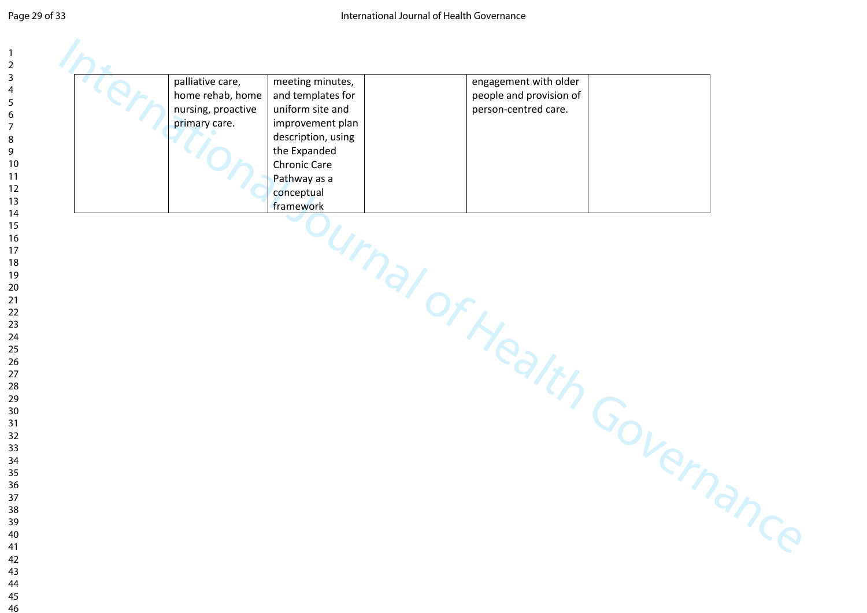| palliative care,<br>home rehab, home | meeting minutes,<br>and templates for | engagement with older<br>people and provision of |  |
|--------------------------------------|---------------------------------------|--------------------------------------------------|--|
| nursing, proactive                   | uniform site and                      | person-centred care.                             |  |
| primary care.                        | improvement plan                      |                                                  |  |
|                                      | description, using<br>the Expanded    |                                                  |  |
|                                      | Chronic Care                          |                                                  |  |
|                                      | Pathway as a                          |                                                  |  |
|                                      | conceptual                            |                                                  |  |
|                                      | framework                             |                                                  |  |
|                                      |                                       |                                                  |  |
|                                      |                                       |                                                  |  |
|                                      |                                       |                                                  |  |
|                                      |                                       |                                                  |  |
|                                      |                                       |                                                  |  |
|                                      |                                       |                                                  |  |
|                                      |                                       |                                                  |  |
|                                      |                                       |                                                  |  |
|                                      |                                       |                                                  |  |
|                                      |                                       |                                                  |  |
|                                      |                                       |                                                  |  |
|                                      |                                       |                                                  |  |
|                                      |                                       |                                                  |  |
|                                      |                                       |                                                  |  |
|                                      |                                       |                                                  |  |
|                                      |                                       | burnal of Health Governanc                       |  |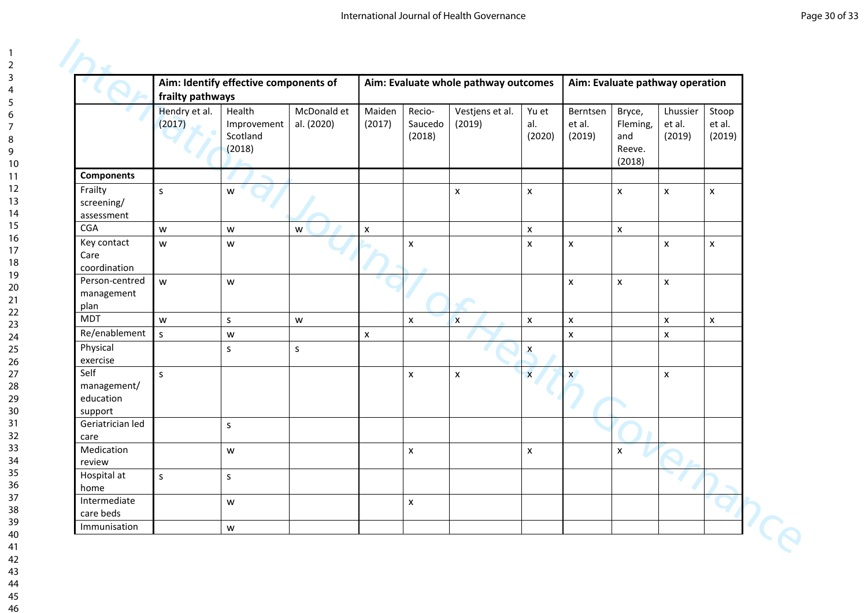|                                             | frailty pathways        | Aim: Identify effective components of       |                                                                                       |                    |                             | Aim: Evaluate whole pathway outcomes |                        |                              | Aim: Evaluate pathway operation               |                              |                           |
|---------------------------------------------|-------------------------|---------------------------------------------|---------------------------------------------------------------------------------------|--------------------|-----------------------------|--------------------------------------|------------------------|------------------------------|-----------------------------------------------|------------------------------|---------------------------|
|                                             | Hendry et al.<br>(2017) | Health<br>Improvement<br>Scotland<br>(2018) | McDonald et<br>al. (2020)                                                             | Maiden<br>(2017)   | Recio-<br>Saucedo<br>(2018) | Vestjens et al.<br>(2019)            | Yu et<br>al.<br>(2020) | Berntsen<br>et al.<br>(2019) | Bryce,<br>Fleming,<br>and<br>Reeve.<br>(2018) | Lhussier<br>et al.<br>(2019) | Stoop<br>et al.<br>(2019) |
| <b>Components</b>                           |                         |                                             |                                                                                       |                    |                             |                                      |                        |                              |                                               |                              |                           |
| Frailty<br>screening/<br>assessment         | $\mathsf{s}$            | W                                           |                                                                                       |                    |                             | X                                    | $\pmb{\mathsf{X}}$     |                              | $\pmb{\mathsf{X}}$                            | X                            | $\pmb{\times}$            |
| <b>CGA</b>                                  | W                       | W                                           | W                                                                                     | $\pmb{\times}$     |                             |                                      | $\pmb{\times}$         |                              | $\mathsf{x}$                                  |                              |                           |
| Key contact<br>Care<br>coordination         | W                       | W                                           |                                                                                       |                    | $\pmb{\mathsf{x}}$          |                                      | $\pmb{\times}$         | $\pmb{\times}$               |                                               | $\pmb{\times}$               | $\pmb{\times}$            |
| Person-centred<br>management<br>plan        | w                       | W                                           |                                                                                       |                    |                             |                                      |                        | $\pmb{\mathsf{x}}$           | $\pmb{\mathsf{x}}$                            | $\pmb{\mathsf{x}}$           |                           |
| <b>MDT</b>                                  | $\mathsf{w}$            | S                                           | $\mathsf{W}% _{T}=\mathsf{W}_{T}\!\left( a,b\right) ,\ \mathsf{W}_{T}=\mathsf{W}_{T}$ |                    | $\boldsymbol{\mathsf{x}}$   | $\mathbf{x}$                         | $\pmb{\times}$         | $\pmb{\chi}$                 |                                               | $\pmb{\times}$               | $\pmb{\mathsf{x}}$        |
| Re/enablement                               | $\mathsf{s}$            | ${\mathsf W}$                               |                                                                                       | $\pmb{\mathsf{x}}$ |                             |                                      |                        | $\pmb{\mathsf{x}}$           |                                               | $\pmb{\mathsf{x}}$           |                           |
| Physical<br>exercise                        |                         | S                                           | $\sf S$                                                                               |                    |                             |                                      | $\pmb{\mathsf{X}}$     |                              |                                               |                              |                           |
| Self<br>management/<br>education<br>support | $\mathsf{S}$            |                                             |                                                                                       |                    | $\mathsf{x}$                | $\pmb{\mathsf{x}}$                   | $\mathbf{x}$           | $\mathbf{x}$                 |                                               | $\pmb{\times}$               |                           |
| Geriatrician led<br>care                    |                         | S                                           |                                                                                       |                    |                             |                                      |                        |                              |                                               |                              |                           |
| Medication<br>review                        |                         | W                                           |                                                                                       |                    | $\pmb{\mathsf{x}}$          |                                      | $\pmb{\times}$         |                              | $\pmb{\mathsf{x}}$                            |                              |                           |
| Hospital at<br>home                         | $\mathsf{s}$            | $\mathsf{s}$                                |                                                                                       |                    |                             |                                      |                        |                              |                                               |                              |                           |
| Intermediate<br>care beds                   |                         | W                                           |                                                                                       |                    | $\mathsf{x}$                |                                      |                        |                              |                                               |                              |                           |
| Immunisation                                |                         | W                                           |                                                                                       |                    |                             |                                      |                        |                              |                                               |                              |                           |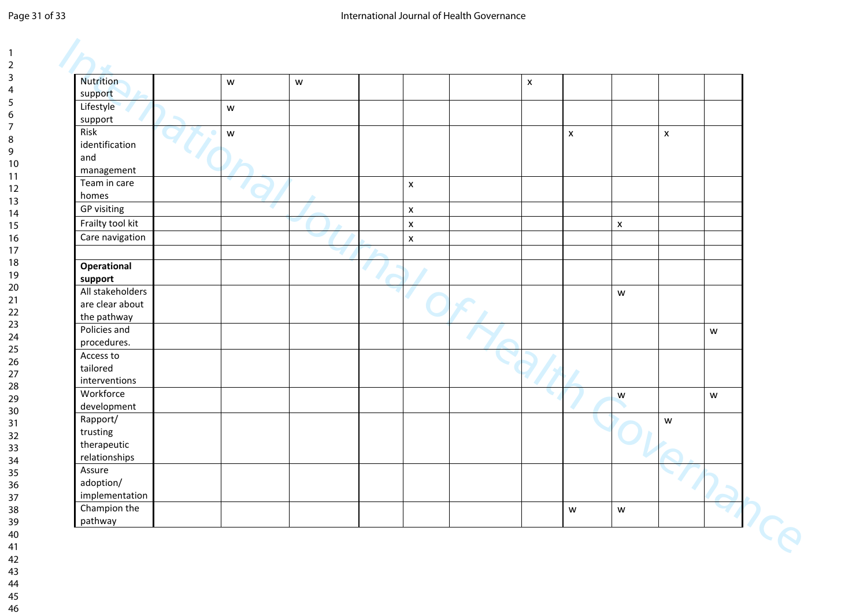#### Page 31 of 33 **International Journal of Health Governance**

| <b>Nutrition</b>               | ${\mathsf W}$ | $\mathsf{W}% _{T}=\mathsf{W}_{T}\!\left( a,b\right) ,\ \mathsf{W}_{T}=\mathsf{W}_{T}$ |                    | $\pmb{\times}$ |                                                                                       |                    |                    |               |
|--------------------------------|---------------|---------------------------------------------------------------------------------------|--------------------|----------------|---------------------------------------------------------------------------------------|--------------------|--------------------|---------------|
| support                        |               |                                                                                       |                    |                |                                                                                       |                    |                    |               |
| Lifestyle                      | ${\mathsf W}$ |                                                                                       |                    |                |                                                                                       |                    |                    |               |
| support                        |               |                                                                                       |                    |                |                                                                                       |                    |                    |               |
| Risk                           | W             |                                                                                       |                    |                | $\mathsf X$                                                                           |                    | $\pmb{\mathsf{x}}$ |               |
| identification                 |               |                                                                                       |                    |                |                                                                                       |                    |                    |               |
| and                            |               |                                                                                       |                    |                |                                                                                       |                    |                    |               |
| management                     |               |                                                                                       |                    |                |                                                                                       |                    |                    |               |
| Team in care                   |               |                                                                                       | $\mathsf{x}$       |                |                                                                                       |                    |                    |               |
| homes                          |               |                                                                                       |                    |                |                                                                                       |                    |                    |               |
| GP visiting                    |               |                                                                                       | $\mathsf{x}$       |                |                                                                                       |                    |                    |               |
| Frailty tool kit               |               |                                                                                       | $\pmb{\mathsf{x}}$ |                |                                                                                       | $\pmb{\mathsf{X}}$ |                    |               |
| Care navigation                |               |                                                                                       | $\pmb{\mathsf{x}}$ |                |                                                                                       |                    |                    |               |
|                                |               |                                                                                       |                    |                |                                                                                       |                    |                    |               |
| Operational                    |               |                                                                                       |                    |                |                                                                                       |                    |                    |               |
| support                        |               |                                                                                       |                    |                |                                                                                       |                    |                    |               |
| All stakeholders               |               |                                                                                       |                    |                |                                                                                       | W                  |                    |               |
| are clear about                |               |                                                                                       |                    |                |                                                                                       |                    |                    |               |
| the pathway<br>Policies and    |               |                                                                                       |                    |                |                                                                                       |                    |                    |               |
| procedures.                    |               |                                                                                       |                    |                |                                                                                       |                    |                    | ${\mathsf W}$ |
| Access to                      |               |                                                                                       |                    |                |                                                                                       |                    |                    |               |
| tailored                       |               |                                                                                       |                    |                |                                                                                       |                    |                    |               |
| interventions                  |               |                                                                                       |                    |                |                                                                                       |                    |                    |               |
| Workforce                      |               |                                                                                       |                    |                |                                                                                       | ${\mathsf w}$      |                    | ${\mathsf W}$ |
| development                    |               |                                                                                       |                    |                |                                                                                       |                    |                    |               |
| Rapport/                       |               |                                                                                       |                    |                |                                                                                       |                    | $\mathsf{w}$       |               |
| trusting                       |               |                                                                                       |                    |                |                                                                                       |                    |                    |               |
| therapeutic                    |               |                                                                                       |                    |                |                                                                                       |                    |                    |               |
| relationships                  |               |                                                                                       |                    |                |                                                                                       |                    |                    |               |
| Assure                         |               |                                                                                       |                    |                |                                                                                       |                    |                    |               |
| adoption/                      |               |                                                                                       |                    |                |                                                                                       |                    |                    |               |
| implementation<br>Champion the |               |                                                                                       |                    |                |                                                                                       |                    |                    |               |
| pathway                        |               |                                                                                       |                    |                | $\mathsf{W}% _{T}=\mathsf{W}_{T}\!\left( a,b\right) ,\ \mathsf{W}_{T}=\mathsf{W}_{T}$ | ${\mathsf W}$      |                    |               |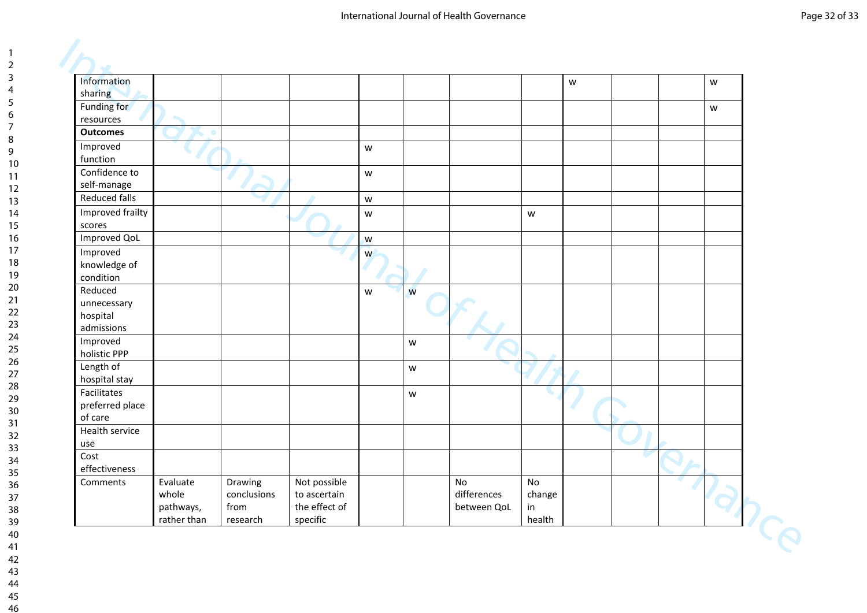| Information          |             |             |               |                                                                                       |   |             |               | ${\mathsf W}$ |  | ${\mathsf W}$ |  |
|----------------------|-------------|-------------|---------------|---------------------------------------------------------------------------------------|---|-------------|---------------|---------------|--|---------------|--|
| sharing              |             |             |               |                                                                                       |   |             |               |               |  |               |  |
| Funding for          |             |             |               |                                                                                       |   |             |               |               |  | W             |  |
| resources            |             |             |               |                                                                                       |   |             |               |               |  |               |  |
| <b>Outcomes</b>      |             |             |               |                                                                                       |   |             |               |               |  |               |  |
| Improved             |             |             |               | ${\mathsf W}$                                                                         |   |             |               |               |  |               |  |
| function             |             |             |               |                                                                                       |   |             |               |               |  |               |  |
| Confidence to        |             |             |               | $\mathsf{W}% _{T}=\mathsf{W}_{T}\!\left( a,b\right) ,\ \mathsf{W}_{T}=\mathsf{W}_{T}$ |   |             |               |               |  |               |  |
| self-manage          |             |             |               |                                                                                       |   |             |               |               |  |               |  |
| <b>Reduced falls</b> |             |             |               | ${\mathsf W}$                                                                         |   |             |               |               |  |               |  |
| Improved frailty     |             |             |               | W                                                                                     |   |             | ${\mathsf W}$ |               |  |               |  |
| scores               |             |             |               |                                                                                       |   |             |               |               |  |               |  |
| <b>Improved QoL</b>  |             |             |               | W                                                                                     |   |             |               |               |  |               |  |
| Improved             |             |             |               | W                                                                                     |   |             |               |               |  |               |  |
| knowledge of         |             |             |               |                                                                                       |   |             |               |               |  |               |  |
| condition            |             |             |               |                                                                                       |   |             |               |               |  |               |  |
| Reduced              |             |             |               | $\mathsf{W}% _{T}=\mathsf{W}_{T}\!\left( a,b\right) ,\ \mathsf{W}_{T}=\mathsf{W}_{T}$ | W |             |               |               |  |               |  |
| unnecessary          |             |             |               |                                                                                       |   |             |               |               |  |               |  |
| hospital             |             |             |               |                                                                                       |   |             |               |               |  |               |  |
| admissions           |             |             |               |                                                                                       |   |             |               |               |  |               |  |
| Improved             |             |             |               |                                                                                       | W |             |               |               |  |               |  |
| holistic PPP         |             |             |               |                                                                                       |   |             |               |               |  |               |  |
| Length of            |             |             |               |                                                                                       | W |             |               |               |  |               |  |
| hospital stay        |             |             |               |                                                                                       |   |             |               |               |  |               |  |
| Facilitates          |             |             |               |                                                                                       | W |             |               |               |  |               |  |
| preferred place      |             |             |               |                                                                                       |   |             |               |               |  |               |  |
| of care              |             |             |               |                                                                                       |   |             |               |               |  |               |  |
| Health service       |             |             |               |                                                                                       |   |             |               |               |  |               |  |
| use                  |             |             |               |                                                                                       |   |             |               |               |  |               |  |
| Cost                 |             |             |               |                                                                                       |   |             |               |               |  |               |  |
| effectiveness        |             |             |               |                                                                                       |   |             |               |               |  |               |  |
| Comments             | Evaluate    | Drawing     | Not possible  |                                                                                       |   | No          | No            |               |  |               |  |
|                      | whole       | conclusions | to ascertain  |                                                                                       |   | differences | change        |               |  |               |  |
|                      | pathways,   | from        | the effect of |                                                                                       |   | between QoL | in            |               |  |               |  |
|                      | rather than | research    | specific      |                                                                                       |   |             | health        |               |  |               |  |